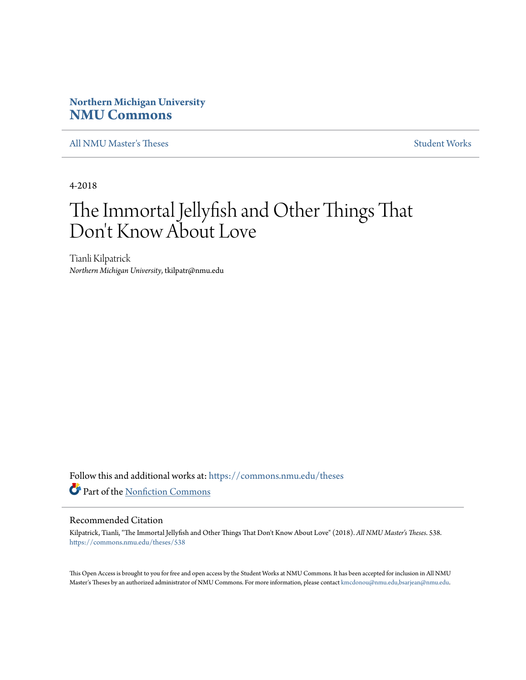# **Northern Michigan University [NMU Commons](https://commons.nmu.edu?utm_source=commons.nmu.edu%2Ftheses%2F538&utm_medium=PDF&utm_campaign=PDFCoverPages)**

[All NMU Master's Theses](https://commons.nmu.edu/theses?utm_source=commons.nmu.edu%2Ftheses%2F538&utm_medium=PDF&utm_campaign=PDFCoverPages) [Student Works](https://commons.nmu.edu/student_works?utm_source=commons.nmu.edu%2Ftheses%2F538&utm_medium=PDF&utm_campaign=PDFCoverPages) and the Student Works of the Student Works of the Student Works of the Student Works of the Student Works of the Student Works of the Student Works of the Student Works of the Student

4-2018

# The Immortal Jellyfish and Other Things That Don 't Know About Love

Tianli Kilpatrick *Northern Michigan University*, tkilpatr@nmu.edu

Follow this and additional works at: [https://commons.nmu.edu/theses](https://commons.nmu.edu/theses?utm_source=commons.nmu.edu%2Ftheses%2F538&utm_medium=PDF&utm_campaign=PDFCoverPages) Part of the [Nonfiction Commons](http://network.bepress.com/hgg/discipline/1152?utm_source=commons.nmu.edu%2Ftheses%2F538&utm_medium=PDF&utm_campaign=PDFCoverPages)

#### Recommended Citation

Kilpatrick, Tianli, "The Immortal Jellyfish and Other Things That Don't Know About Love" (2018). *All NMU Master's Theses*. 538. [https://commons.nmu.edu/theses/538](https://commons.nmu.edu/theses/538?utm_source=commons.nmu.edu%2Ftheses%2F538&utm_medium=PDF&utm_campaign=PDFCoverPages)

This Open Access is brought to you for free and open access by the Student Works at NMU Commons. It has been accepted for inclusion in All NMU Master's Theses by an authorized administrator of NMU Commons. For more information, please contact [kmcdonou@nmu.edu,bsarjean@nmu.edu.](mailto:kmcdonou@nmu.edu,bsarjean@nmu.edu)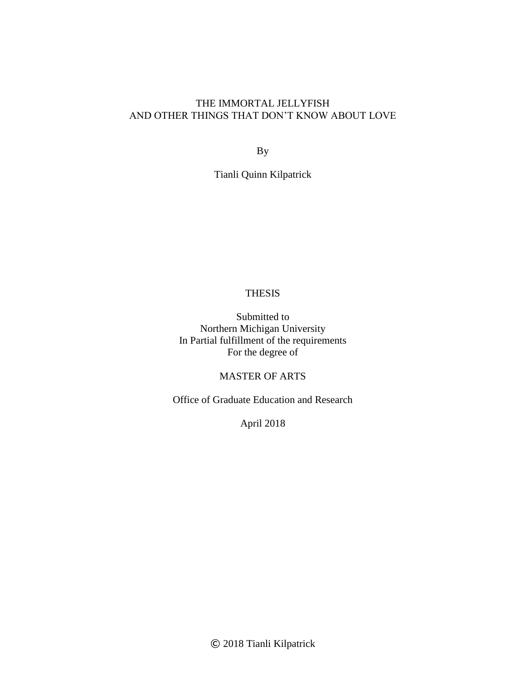# THE IMMORTAL JELLYFISH AND OTHER THINGS THAT DON'T KNOW ABOUT LOVE

By

Tianli Quinn Kilpatrick

# THESIS

Submitted to Northern Michigan University In Partial fulfillment of the requirements For the degree of

# MASTER OF ARTS

Office of Graduate Education and Research

April 2018

© 2018 Tianli Kilpatrick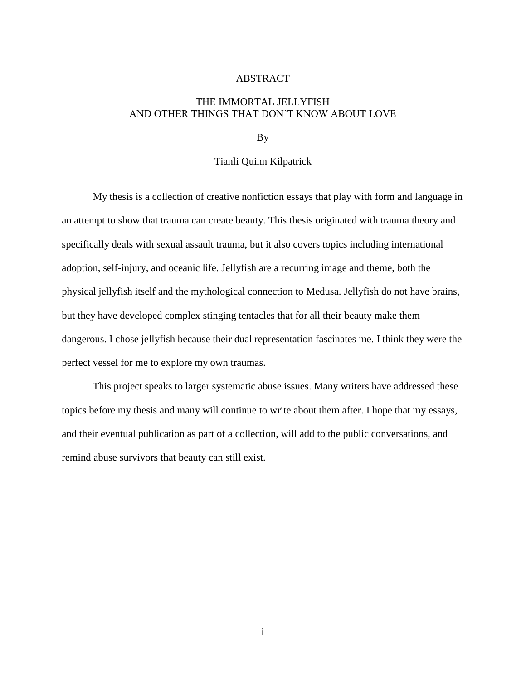#### ABSTRACT

## THE IMMORTAL JELLYFISH AND OTHER THINGS THAT DON'T KNOW ABOUT LOVE

By

#### Tianli Quinn Kilpatrick

My thesis is a collection of creative nonfiction essays that play with form and language in an attempt to show that trauma can create beauty. This thesis originated with trauma theory and specifically deals with sexual assault trauma, but it also covers topics including international adoption, self-injury, and oceanic life. Jellyfish are a recurring image and theme, both the physical jellyfish itself and the mythological connection to Medusa. Jellyfish do not have brains, but they have developed complex stinging tentacles that for all their beauty make them dangerous. I chose jellyfish because their dual representation fascinates me. I think they were the perfect vessel for me to explore my own traumas.

This project speaks to larger systematic abuse issues. Many writers have addressed these topics before my thesis and many will continue to write about them after. I hope that my essays, and their eventual publication as part of a collection, will add to the public conversations, and remind abuse survivors that beauty can still exist.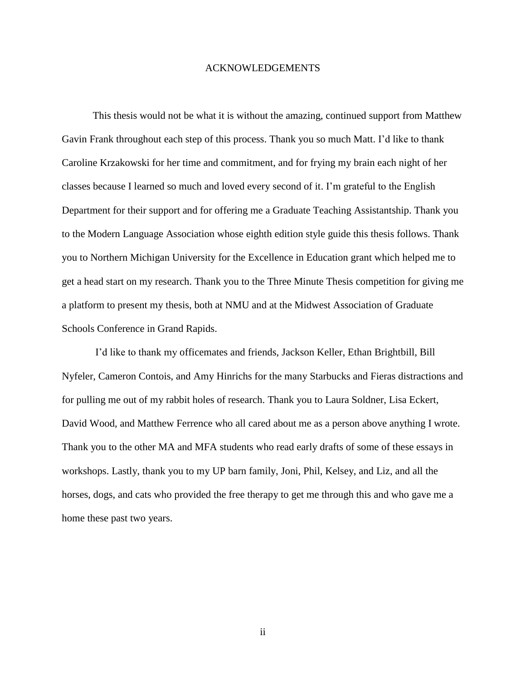#### ACKNOWLEDGEMENTS

This thesis would not be what it is without the amazing, continued support from Matthew Gavin Frank throughout each step of this process. Thank you so much Matt. I'd like to thank Caroline Krzakowski for her time and commitment, and for frying my brain each night of her classes because I learned so much and loved every second of it. I'm grateful to the English Department for their support and for offering me a Graduate Teaching Assistantship. Thank you to the Modern Language Association whose eighth edition style guide this thesis follows. Thank you to Northern Michigan University for the Excellence in Education grant which helped me to get a head start on my research. Thank you to the Three Minute Thesis competition for giving me a platform to present my thesis, both at NMU and at the Midwest Association of Graduate Schools Conference in Grand Rapids.

I'd like to thank my officemates and friends, Jackson Keller, Ethan Brightbill, Bill Nyfeler, Cameron Contois, and Amy Hinrichs for the many Starbucks and Fieras distractions and for pulling me out of my rabbit holes of research. Thank you to Laura Soldner, Lisa Eckert, David Wood, and Matthew Ferrence who all cared about me as a person above anything I wrote. Thank you to the other MA and MFA students who read early drafts of some of these essays in workshops. Lastly, thank you to my UP barn family, Joni, Phil, Kelsey, and Liz, and all the horses, dogs, and cats who provided the free therapy to get me through this and who gave me a home these past two years.

ii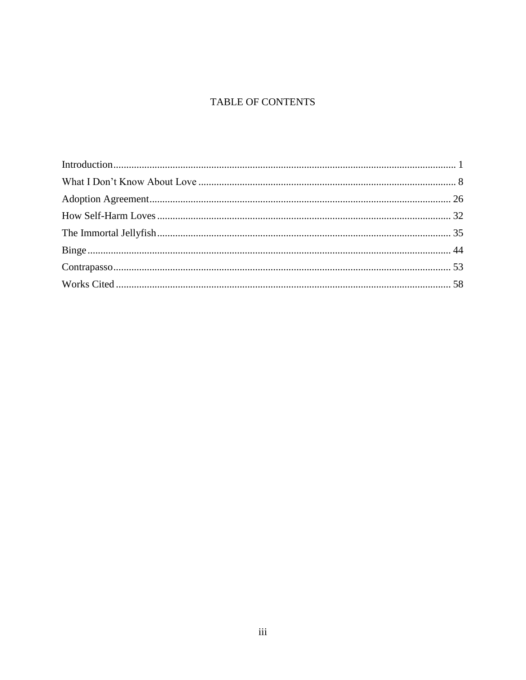# TABLE OF CONTENTS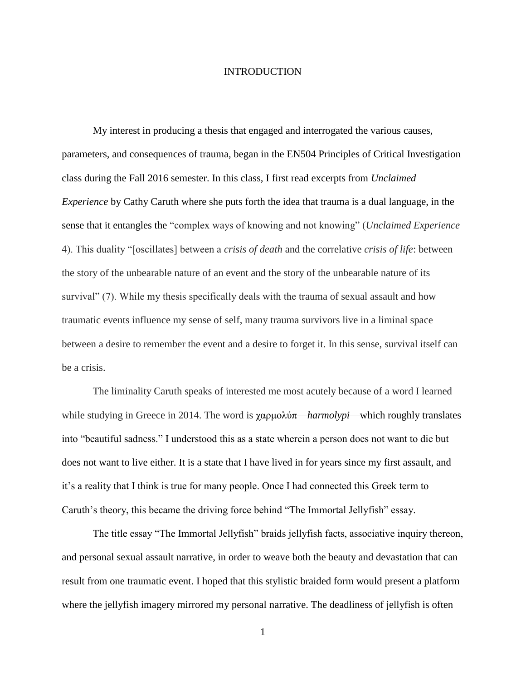#### INTRODUCTION

<span id="page-5-0"></span>My interest in producing a thesis that engaged and interrogated the various causes, parameters, and consequences of trauma, began in the EN504 Principles of Critical Investigation class during the Fall 2016 semester. In this class, I first read excerpts from *Unclaimed Experience* by Cathy Caruth where she puts forth the idea that trauma is a dual language, in the sense that it entangles the "complex ways of knowing and not knowing" (*Unclaimed Experience* 4). This duality "[oscillates] between a *crisis of death* and the correlative *crisis of life*: between the story of the unbearable nature of an event and the story of the unbearable nature of its survival" (7). While my thesis specifically deals with the trauma of sexual assault and how traumatic events influence my sense of self, many trauma survivors live in a liminal space between a desire to remember the event and a desire to forget it. In this sense, survival itself can be a crisis.

The liminality Caruth speaks of interested me most acutely because of a word I learned while studying in Greece in 2014. The word is χαρμολύπ—*harmolypi*—which roughly translates into "beautiful sadness." I understood this as a state wherein a person does not want to die but does not want to live either. It is a state that I have lived in for years since my first assault, and it's a reality that I think is true for many people. Once I had connected this Greek term to Caruth's theory, this became the driving force behind "The Immortal Jellyfish" essay.

The title essay "The Immortal Jellyfish" braids jellyfish facts, associative inquiry thereon, and personal sexual assault narrative, in order to weave both the beauty and devastation that can result from one traumatic event. I hoped that this stylistic braided form would present a platform where the jellyfish imagery mirrored my personal narrative. The deadliness of jellyfish is often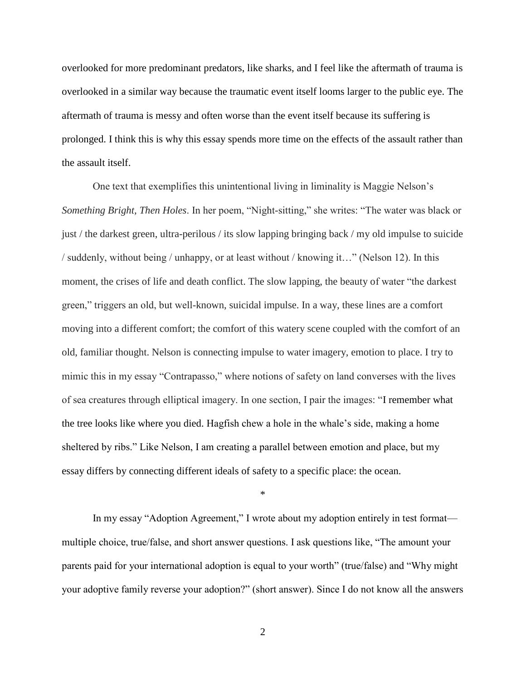overlooked for more predominant predators, like sharks, and I feel like the aftermath of trauma is overlooked in a similar way because the traumatic event itself looms larger to the public eye. The aftermath of trauma is messy and often worse than the event itself because its suffering is prolonged. I think this is why this essay spends more time on the effects of the assault rather than the assault itself.

One text that exemplifies this unintentional living in liminality is Maggie Nelson's *Something Bright, Then Holes*. In her poem, "Night-sitting," she writes: "The water was black or just / the darkest green, ultra-perilous / its slow lapping bringing back / my old impulse to suicide / suddenly, without being / unhappy, or at least without / knowing it…" (Nelson 12). In this moment, the crises of life and death conflict. The slow lapping, the beauty of water "the darkest green," triggers an old, but well-known, suicidal impulse. In a way, these lines are a comfort moving into a different comfort; the comfort of this watery scene coupled with the comfort of an old, familiar thought. Nelson is connecting impulse to water imagery, emotion to place. I try to mimic this in my essay "Contrapasso," where notions of safety on land converses with the lives of sea creatures through elliptical imagery. In one section, I pair the images: "I remember what the tree looks like where you died. Hagfish chew a hole in the whale's side, making a home sheltered by ribs." Like Nelson, I am creating a parallel between emotion and place, but my essay differs by connecting different ideals of safety to a specific place: the ocean.

\*

In my essay "Adoption Agreement," I wrote about my adoption entirely in test format multiple choice, true/false, and short answer questions. I ask questions like, "The amount your parents paid for your international adoption is equal to your worth" (true/false) and "Why might your adoptive family reverse your adoption?" (short answer). Since I do not know all the answers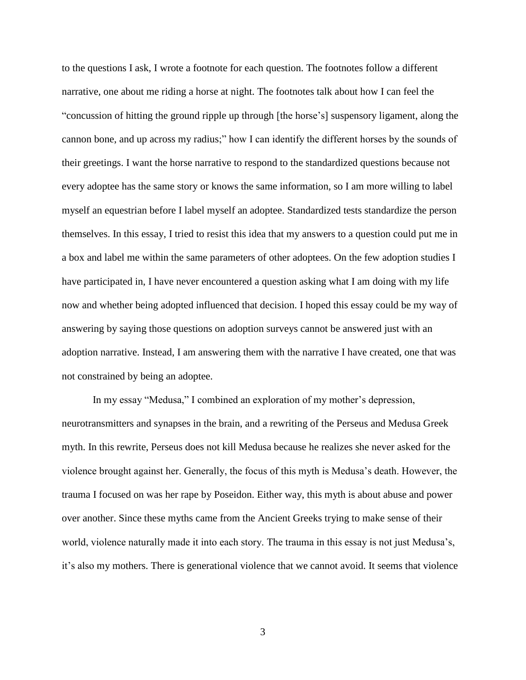to the questions I ask, I wrote a footnote for each question. The footnotes follow a different narrative, one about me riding a horse at night. The footnotes talk about how I can feel the "concussion of hitting the ground ripple up through [the horse's] suspensory ligament, along the cannon bone, and up across my radius;" how I can identify the different horses by the sounds of their greetings. I want the horse narrative to respond to the standardized questions because not every adoptee has the same story or knows the same information, so I am more willing to label myself an equestrian before I label myself an adoptee. Standardized tests standardize the person themselves. In this essay, I tried to resist this idea that my answers to a question could put me in a box and label me within the same parameters of other adoptees. On the few adoption studies I have participated in, I have never encountered a question asking what I am doing with my life now and whether being adopted influenced that decision. I hoped this essay could be my way of answering by saying those questions on adoption surveys cannot be answered just with an adoption narrative. Instead, I am answering them with the narrative I have created, one that was not constrained by being an adoptee.

In my essay "Medusa," I combined an exploration of my mother's depression, neurotransmitters and synapses in the brain, and a rewriting of the Perseus and Medusa Greek myth. In this rewrite, Perseus does not kill Medusa because he realizes she never asked for the violence brought against her. Generally, the focus of this myth is Medusa's death. However, the trauma I focused on was her rape by Poseidon. Either way, this myth is about abuse and power over another. Since these myths came from the Ancient Greeks trying to make sense of their world, violence naturally made it into each story. The trauma in this essay is not just Medusa's, it's also my mothers. There is generational violence that we cannot avoid. It seems that violence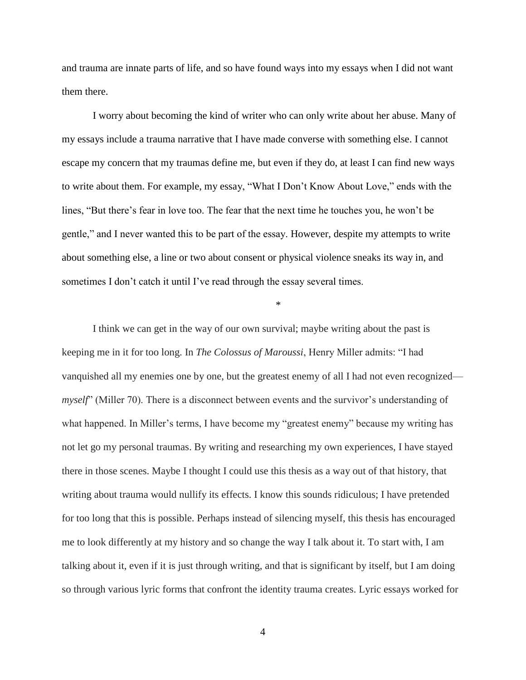and trauma are innate parts of life, and so have found ways into my essays when I did not want them there.

I worry about becoming the kind of writer who can only write about her abuse. Many of my essays include a trauma narrative that I have made converse with something else. I cannot escape my concern that my traumas define me, but even if they do, at least I can find new ways to write about them. For example, my essay, "What I Don't Know About Love," ends with the lines, "But there's fear in love too. The fear that the next time he touches you, he won't be gentle," and I never wanted this to be part of the essay. However, despite my attempts to write about something else, a line or two about consent or physical violence sneaks its way in, and sometimes I don't catch it until I've read through the essay several times.

\*

I think we can get in the way of our own survival; maybe writing about the past is keeping me in it for too long. In *The Colossus of Maroussi*, Henry Miller admits: "I had vanquished all my enemies one by one, but the greatest enemy of all I had not even recognized *myself*" (Miller 70). There is a disconnect between events and the survivor's understanding of what happened. In Miller's terms, I have become my "greatest enemy" because my writing has not let go my personal traumas. By writing and researching my own experiences, I have stayed there in those scenes. Maybe I thought I could use this thesis as a way out of that history, that writing about trauma would nullify its effects. I know this sounds ridiculous; I have pretended for too long that this is possible. Perhaps instead of silencing myself, this thesis has encouraged me to look differently at my history and so change the way I talk about it. To start with, I am talking about it, even if it is just through writing, and that is significant by itself, but I am doing so through various lyric forms that confront the identity trauma creates. Lyric essays worked for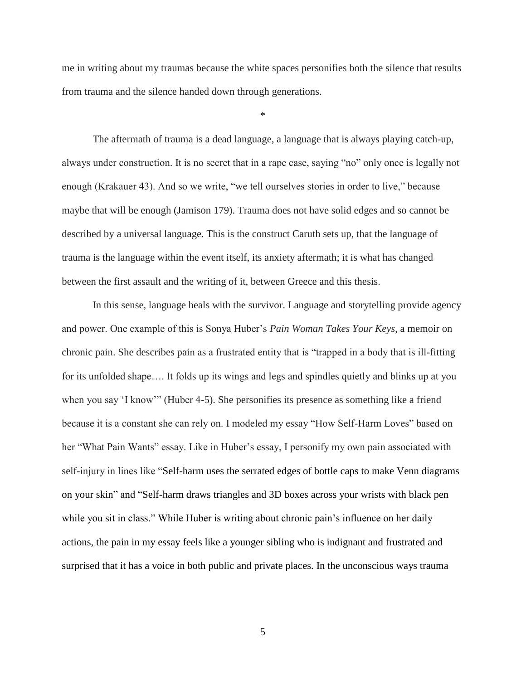me in writing about my traumas because the white spaces personifies both the silence that results from trauma and the silence handed down through generations.

\*

The aftermath of trauma is a dead language, a language that is always playing catch-up, always under construction. It is no secret that in a rape case, saying "no" only once is legally not enough (Krakauer 43). And so we write, "we tell ourselves stories in order to live," because maybe that will be enough (Jamison 179). Trauma does not have solid edges and so cannot be described by a universal language. This is the construct Caruth sets up, that the language of trauma is the language within the event itself, its anxiety aftermath; it is what has changed between the first assault and the writing of it, between Greece and this thesis.

In this sense, language heals with the survivor. Language and storytelling provide agency and power. One example of this is Sonya Huber's *Pain Woman Takes Your Keys*, a memoir on chronic pain. She describes pain as a frustrated entity that is "trapped in a body that is ill-fitting for its unfolded shape…. It folds up its wings and legs and spindles quietly and blinks up at you when you say 'I know'" (Huber 4-5). She personifies its presence as something like a friend because it is a constant she can rely on. I modeled my essay "How Self-Harm Loves" based on her "What Pain Wants" essay. Like in Huber's essay, I personify my own pain associated with self-injury in lines like "Self-harm uses the serrated edges of bottle caps to make Venn diagrams on your skin" and "Self-harm draws triangles and 3D boxes across your wrists with black pen while you sit in class." While Huber is writing about chronic pain's influence on her daily actions, the pain in my essay feels like a younger sibling who is indignant and frustrated and surprised that it has a voice in both public and private places. In the unconscious ways trauma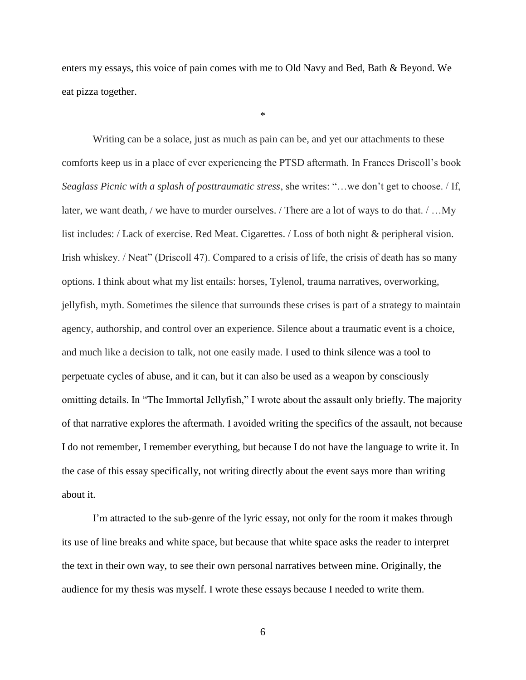enters my essays, this voice of pain comes with me to Old Navy and Bed, Bath & Beyond. We eat pizza together.

\*

Writing can be a solace, just as much as pain can be, and yet our attachments to these comforts keep us in a place of ever experiencing the PTSD aftermath. In Frances Driscoll's book *Seaglass Picnic with a splash of posttraumatic stress*, she writes: "…we don't get to choose. / If, later, we want death, / we have to murder ourselves. / There are a lot of ways to do that. / …My list includes: / Lack of exercise. Red Meat. Cigarettes. / Loss of both night & peripheral vision. Irish whiskey. / Neat" (Driscoll 47). Compared to a crisis of life, the crisis of death has so many options. I think about what my list entails: horses, Tylenol, trauma narratives, overworking, jellyfish, myth. Sometimes the silence that surrounds these crises is part of a strategy to maintain agency, authorship, and control over an experience. Silence about a traumatic event is a choice, and much like a decision to talk, not one easily made. I used to think silence was a tool to perpetuate cycles of abuse, and it can, but it can also be used as a weapon by consciously omitting details. In "The Immortal Jellyfish," I wrote about the assault only briefly. The majority of that narrative explores the aftermath. I avoided writing the specifics of the assault, not because I do not remember, I remember everything, but because I do not have the language to write it. In the case of this essay specifically, not writing directly about the event says more than writing about it.

I'm attracted to the sub-genre of the lyric essay, not only for the room it makes through its use of line breaks and white space, but because that white space asks the reader to interpret the text in their own way, to see their own personal narratives between mine. Originally, the audience for my thesis was myself. I wrote these essays because I needed to write them.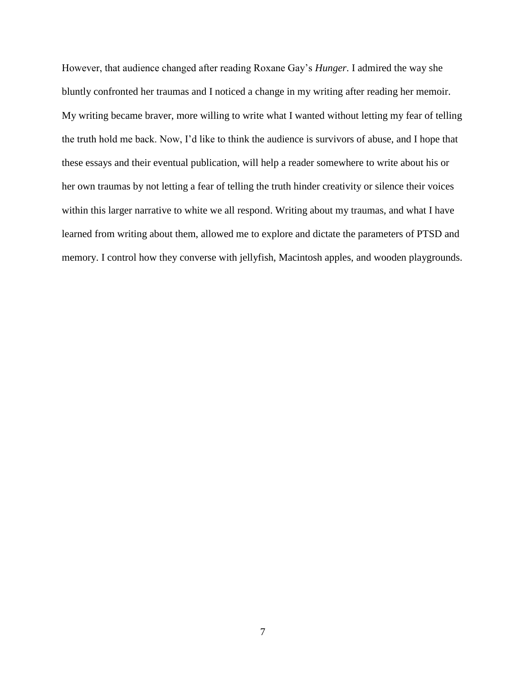However, that audience changed after reading Roxane Gay's *Hunger*. I admired the way she bluntly confronted her traumas and I noticed a change in my writing after reading her memoir. My writing became braver, more willing to write what I wanted without letting my fear of telling the truth hold me back. Now, I'd like to think the audience is survivors of abuse, and I hope that these essays and their eventual publication, will help a reader somewhere to write about his or her own traumas by not letting a fear of telling the truth hinder creativity or silence their voices within this larger narrative to white we all respond. Writing about my traumas, and what I have learned from writing about them, allowed me to explore and dictate the parameters of PTSD and memory. I control how they converse with jellyfish, Macintosh apples, and wooden playgrounds.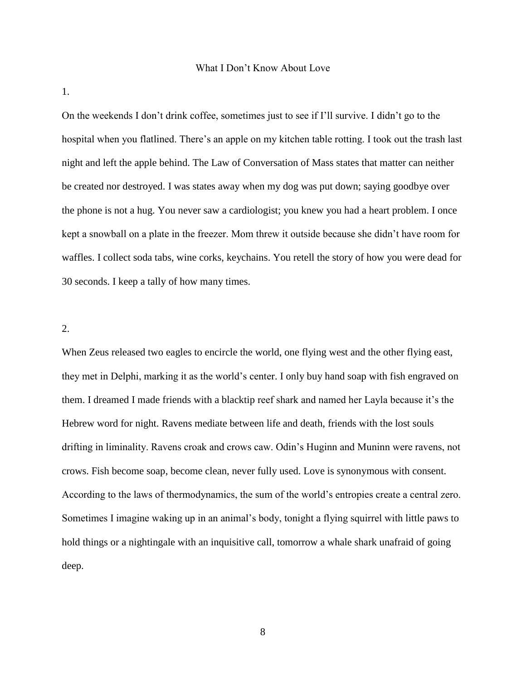#### What I Don't Know About Love

<span id="page-12-0"></span>1.

On the weekends I don't drink coffee, sometimes just to see if I'll survive. I didn't go to the hospital when you flatlined. There's an apple on my kitchen table rotting. I took out the trash last night and left the apple behind. The Law of Conversation of Mass states that matter can neither be created nor destroyed. I was states away when my dog was put down; saying goodbye over the phone is not a hug. You never saw a cardiologist; you knew you had a heart problem. I once kept a snowball on a plate in the freezer. Mom threw it outside because she didn't have room for waffles. I collect soda tabs, wine corks, keychains. You retell the story of how you were dead for 30 seconds. I keep a tally of how many times.

#### 2.

When Zeus released two eagles to encircle the world, one flying west and the other flying east, they met in Delphi, marking it as the world's center. I only buy hand soap with fish engraved on them. I dreamed I made friends with a blacktip reef shark and named her Layla because it's the Hebrew word for night. Ravens mediate between life and death, friends with the lost souls drifting in liminality. Ravens croak and crows caw. Odin's Huginn and Muninn were ravens, not crows. Fish become soap, become clean, never fully used. Love is synonymous with consent. According to the laws of thermodynamics, the sum of the world's entropies create a central zero. Sometimes I imagine waking up in an animal's body, tonight a flying squirrel with little paws to hold things or a nightingale with an inquisitive call, tomorrow a whale shark unafraid of going deep.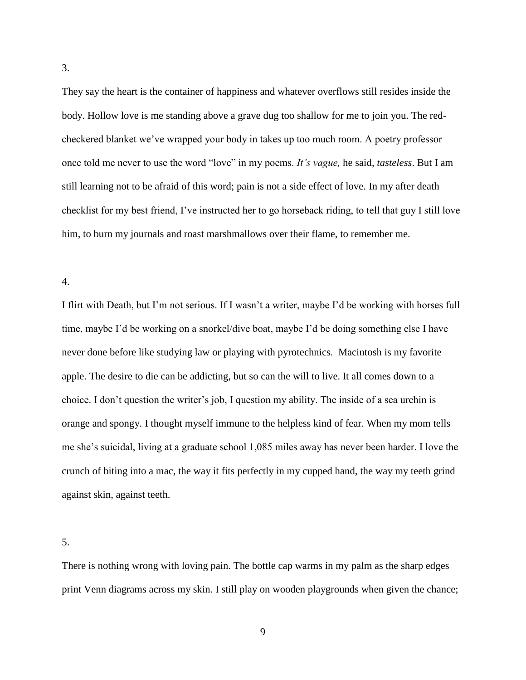They say the heart is the container of happiness and whatever overflows still resides inside the body. Hollow love is me standing above a grave dug too shallow for me to join you. The redcheckered blanket we've wrapped your body in takes up too much room. A poetry professor once told me never to use the word "love" in my poems. *It's vague,* he said, *tasteless*. But I am still learning not to be afraid of this word; pain is not a side effect of love. In my after death checklist for my best friend, I've instructed her to go horseback riding, to tell that guy I still love him, to burn my journals and roast marshmallows over their flame, to remember me.

4.

I flirt with Death, but I'm not serious. If I wasn't a writer, maybe I'd be working with horses full time, maybe I'd be working on a snorkel/dive boat, maybe I'd be doing something else I have never done before like studying law or playing with pyrotechnics. Macintosh is my favorite apple. The desire to die can be addicting, but so can the will to live. It all comes down to a choice. I don't question the writer's job, I question my ability. The inside of a sea urchin is orange and spongy. I thought myself immune to the helpless kind of fear. When my mom tells me she's suicidal, living at a graduate school 1,085 miles away has never been harder. I love the crunch of biting into a mac, the way it fits perfectly in my cupped hand, the way my teeth grind against skin, against teeth.

5.

There is nothing wrong with loving pain. The bottle cap warms in my palm as the sharp edges print Venn diagrams across my skin. I still play on wooden playgrounds when given the chance;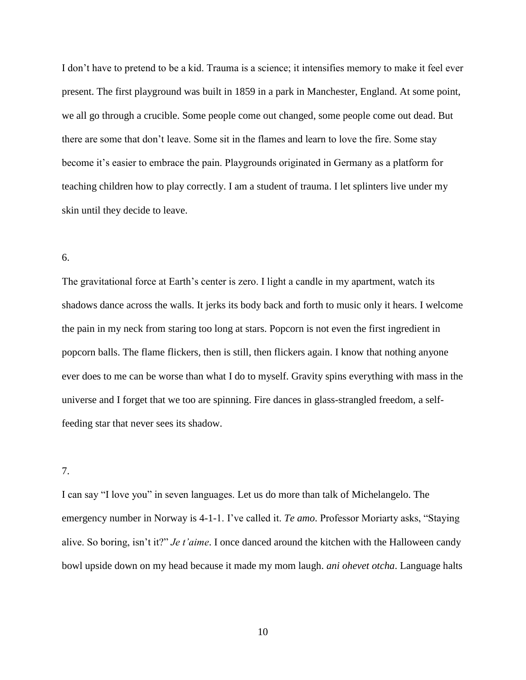I don't have to pretend to be a kid. Trauma is a science; it intensifies memory to make it feel ever present. The first playground was built in 1859 in a park in Manchester, England. At some point, we all go through a crucible. Some people come out changed, some people come out dead. But there are some that don't leave. Some sit in the flames and learn to love the fire. Some stay become it's easier to embrace the pain. Playgrounds originated in Germany as a platform for teaching children how to play correctly. I am a student of trauma. I let splinters live under my skin until they decide to leave.

#### 6.

The gravitational force at Earth's center is zero. I light a candle in my apartment, watch its shadows dance across the walls. It jerks its body back and forth to music only it hears. I welcome the pain in my neck from staring too long at stars. Popcorn is not even the first ingredient in popcorn balls. The flame flickers, then is still, then flickers again. I know that nothing anyone ever does to me can be worse than what I do to myself. Gravity spins everything with mass in the universe and I forget that we too are spinning. Fire dances in glass-strangled freedom, a selffeeding star that never sees its shadow.

### 7.

I can say "I love you" in seven languages. Let us do more than talk of Michelangelo. The emergency number in Norway is 4-1-1. I've called it. *Te amo*. Professor Moriarty asks, "Staying alive. So boring, isn't it?" *Je t'aime*. I once danced around the kitchen with the Halloween candy bowl upside down on my head because it made my mom laugh. *ani ohevet otcha*. Language halts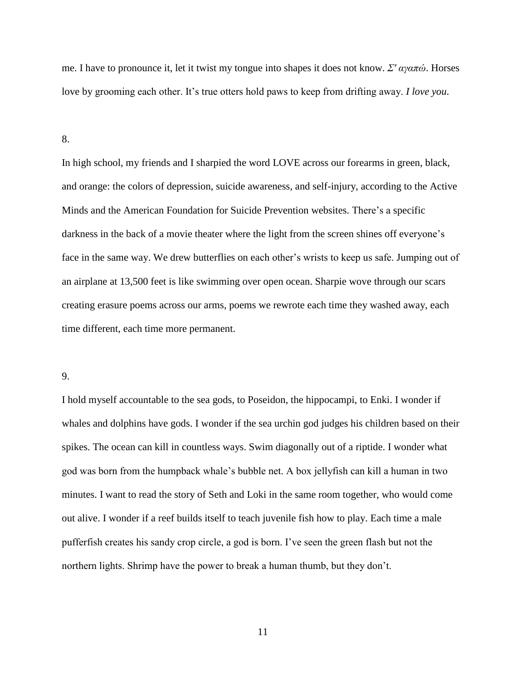me. I have to pronounce it, let it twist my tongue into shapes it does not know. *Σ' αγαπώ*. Horses love by grooming each other. It's true otters hold paws to keep from drifting away. *I love you*.

8.

In high school, my friends and I sharpied the word LOVE across our forearms in green, black, and orange: the colors of depression, suicide awareness, and self-injury, according to the Active Minds and the American Foundation for Suicide Prevention websites. There's a specific darkness in the back of a movie theater where the light from the screen shines off everyone's face in the same way. We drew butterflies on each other's wrists to keep us safe. Jumping out of an airplane at 13,500 feet is like swimming over open ocean. Sharpie wove through our scars creating erasure poems across our arms, poems we rewrote each time they washed away, each time different, each time more permanent.

#### 9.

I hold myself accountable to the sea gods, to Poseidon, the hippocampi, to Enki. I wonder if whales and dolphins have gods. I wonder if the sea urchin god judges his children based on their spikes. The ocean can kill in countless ways. Swim diagonally out of a riptide. I wonder what god was born from the humpback whale's bubble net. A box jellyfish can kill a human in two minutes. I want to read the story of Seth and Loki in the same room together, who would come out alive. I wonder if a reef builds itself to teach juvenile fish how to play. Each time a male pufferfish creates his sandy crop circle, a god is born. I've seen the green flash but not the northern lights. Shrimp have the power to break a human thumb, but they don't.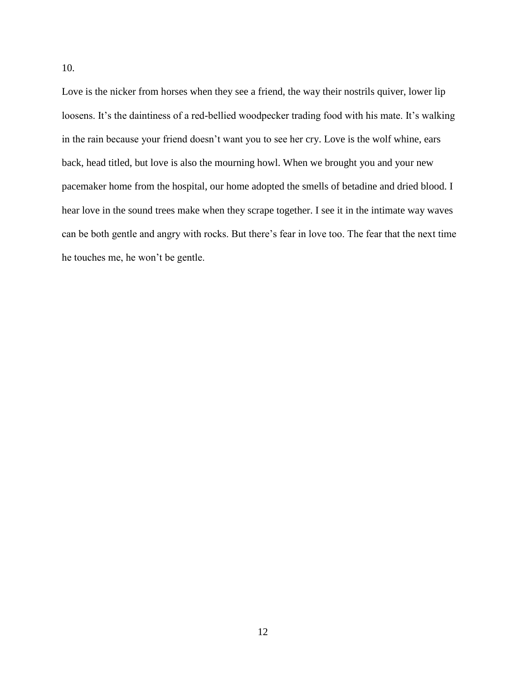Love is the nicker from horses when they see a friend, the way their nostrils quiver, lower lip loosens. It's the daintiness of a red-bellied woodpecker trading food with his mate. It's walking in the rain because your friend doesn't want you to see her cry. Love is the wolf whine, ears back, head titled, but love is also the mourning howl. When we brought you and your new pacemaker home from the hospital, our home adopted the smells of betadine and dried blood. I hear love in the sound trees make when they scrape together. I see it in the intimate way waves can be both gentle and angry with rocks. But there's fear in love too. The fear that the next time he touches me, he won't be gentle.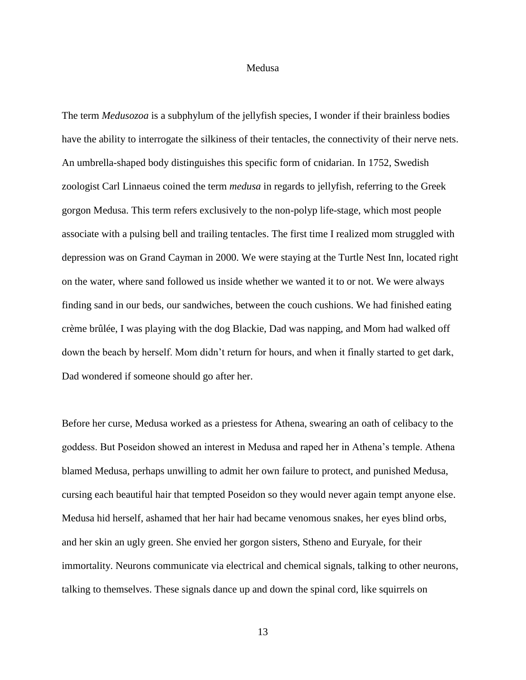#### Medusa

The term *Medusozoa* is a subphylum of the jellyfish species, I wonder if their brainless bodies have the ability to interrogate the silkiness of their tentacles, the connectivity of their nerve nets. An umbrella-shaped body distinguishes this specific form of cnidarian. In 1752, Swedish zoologist Carl Linnaeus coined the term *medusa* in regards to jellyfish, referring to the Greek gorgon Medusa. This term refers exclusively to the non-polyp life-stage, which most people associate with a pulsing bell and trailing tentacles. The first time I realized mom struggled with depression was on Grand Cayman in 2000. We were staying at the Turtle Nest Inn, located right on the water, where sand followed us inside whether we wanted it to or not. We were always finding sand in our beds, our sandwiches, between the couch cushions. We had finished eating crème brûlée, I was playing with the dog Blackie, Dad was napping, and Mom had walked off down the beach by herself. Mom didn't return for hours, and when it finally started to get dark, Dad wondered if someone should go after her.

Before her curse, Medusa worked as a priestess for Athena, swearing an oath of celibacy to the goddess. But Poseidon showed an interest in Medusa and raped her in Athena's temple. Athena blamed Medusa, perhaps unwilling to admit her own failure to protect, and punished Medusa, cursing each beautiful hair that tempted Poseidon so they would never again tempt anyone else. Medusa hid herself, ashamed that her hair had became venomous snakes, her eyes blind orbs, and her skin an ugly green. She envied her gorgon sisters, Stheno and Euryale, for their immortality. Neurons communicate via electrical and chemical signals, talking to other neurons, talking to themselves. These signals dance up and down the spinal cord, like squirrels on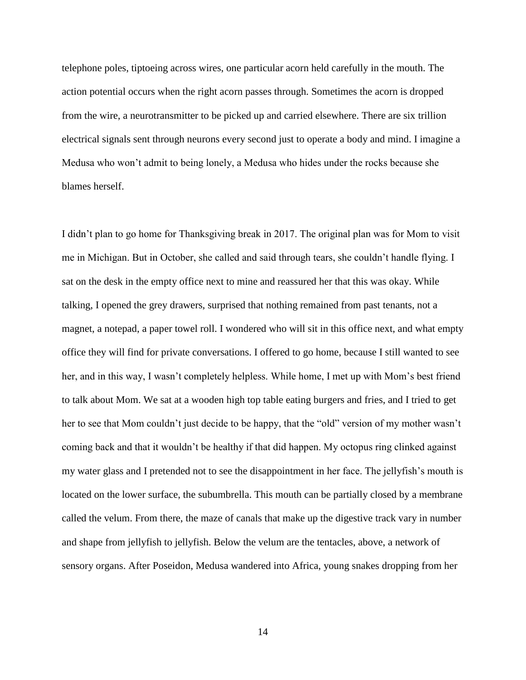telephone poles, tiptoeing across wires, one particular acorn held carefully in the mouth. The action potential occurs when the right acorn passes through. Sometimes the acorn is dropped from the wire, a neurotransmitter to be picked up and carried elsewhere. There are six trillion electrical signals sent through neurons every second just to operate a body and mind. I imagine a Medusa who won't admit to being lonely, a Medusa who hides under the rocks because she blames herself.

I didn't plan to go home for Thanksgiving break in 2017. The original plan was for Mom to visit me in Michigan. But in October, she called and said through tears, she couldn't handle flying. I sat on the desk in the empty office next to mine and reassured her that this was okay. While talking, I opened the grey drawers, surprised that nothing remained from past tenants, not a magnet, a notepad, a paper towel roll. I wondered who will sit in this office next, and what empty office they will find for private conversations. I offered to go home, because I still wanted to see her, and in this way, I wasn't completely helpless. While home, I met up with Mom's best friend to talk about Mom. We sat at a wooden high top table eating burgers and fries, and I tried to get her to see that Mom couldn't just decide to be happy, that the "old" version of my mother wasn't coming back and that it wouldn't be healthy if that did happen. My octopus ring clinked against my water glass and I pretended not to see the disappointment in her face. The jellyfish's mouth is located on the lower surface, the subumbrella. This mouth can be partially closed by a membrane called the velum. From there, the maze of canals that make up the digestive track vary in number and shape from jellyfish to jellyfish. Below the velum are the tentacles, above, a network of sensory organs. After Poseidon, Medusa wandered into Africa, young snakes dropping from her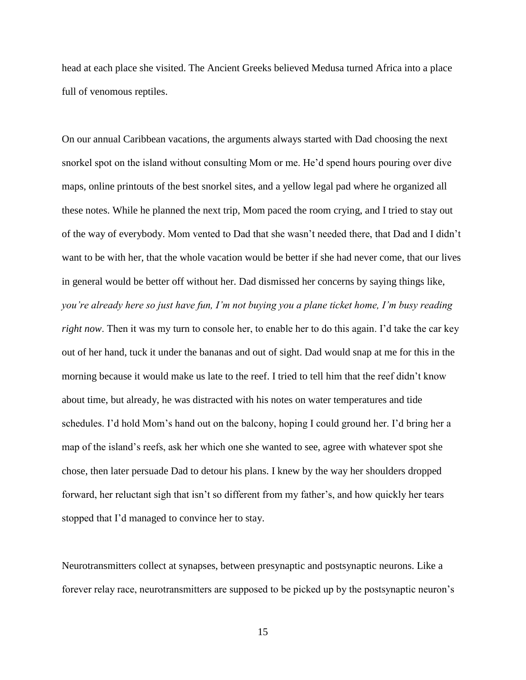head at each place she visited. The Ancient Greeks believed Medusa turned Africa into a place full of venomous reptiles.

On our annual Caribbean vacations, the arguments always started with Dad choosing the next snorkel spot on the island without consulting Mom or me. He'd spend hours pouring over dive maps, online printouts of the best snorkel sites, and a yellow legal pad where he organized all these notes. While he planned the next trip, Mom paced the room crying, and I tried to stay out of the way of everybody. Mom vented to Dad that she wasn't needed there, that Dad and I didn't want to be with her, that the whole vacation would be better if she had never come, that our lives in general would be better off without her. Dad dismissed her concerns by saying things like, *you're already here so just have fun, I'm not buying you a plane ticket home, I'm busy reading right now*. Then it was my turn to console her, to enable her to do this again. I'd take the car key out of her hand, tuck it under the bananas and out of sight. Dad would snap at me for this in the morning because it would make us late to the reef. I tried to tell him that the reef didn't know about time, but already, he was distracted with his notes on water temperatures and tide schedules. I'd hold Mom's hand out on the balcony, hoping I could ground her. I'd bring her a map of the island's reefs, ask her which one she wanted to see, agree with whatever spot she chose, then later persuade Dad to detour his plans. I knew by the way her shoulders dropped forward, her reluctant sigh that isn't so different from my father's, and how quickly her tears stopped that I'd managed to convince her to stay.

Neurotransmitters collect at synapses, between presynaptic and postsynaptic neurons. Like a forever relay race, neurotransmitters are supposed to be picked up by the postsynaptic neuron's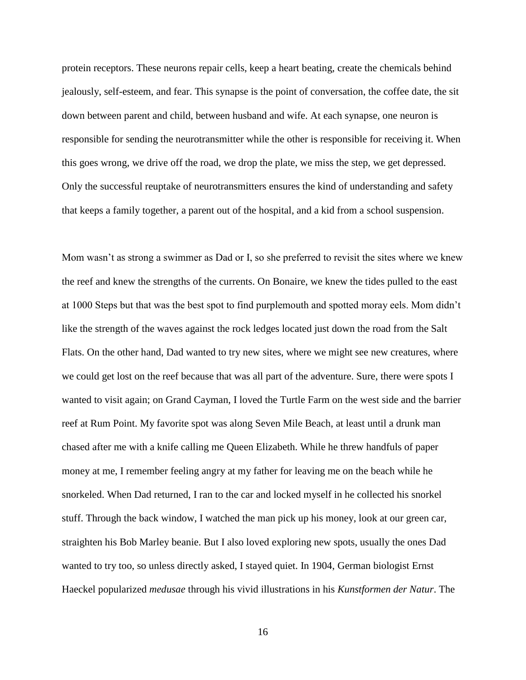protein receptors. These neurons repair cells, keep a heart beating, create the chemicals behind jealously, self-esteem, and fear. This synapse is the point of conversation, the coffee date, the sit down between parent and child, between husband and wife. At each synapse, one neuron is responsible for sending the neurotransmitter while the other is responsible for receiving it. When this goes wrong, we drive off the road, we drop the plate, we miss the step, we get depressed. Only the successful reuptake of neurotransmitters ensures the kind of understanding and safety that keeps a family together, a parent out of the hospital, and a kid from a school suspension.

Mom wasn't as strong a swimmer as Dad or I, so she preferred to revisit the sites where we knew the reef and knew the strengths of the currents. On Bonaire, we knew the tides pulled to the east at 1000 Steps but that was the best spot to find purplemouth and spotted moray eels. Mom didn't like the strength of the waves against the rock ledges located just down the road from the Salt Flats. On the other hand, Dad wanted to try new sites, where we might see new creatures, where we could get lost on the reef because that was all part of the adventure. Sure, there were spots I wanted to visit again; on Grand Cayman, I loved the Turtle Farm on the west side and the barrier reef at Rum Point. My favorite spot was along Seven Mile Beach, at least until a drunk man chased after me with a knife calling me Queen Elizabeth. While he threw handfuls of paper money at me, I remember feeling angry at my father for leaving me on the beach while he snorkeled. When Dad returned, I ran to the car and locked myself in he collected his snorkel stuff. Through the back window, I watched the man pick up his money, look at our green car, straighten his Bob Marley beanie. But I also loved exploring new spots, usually the ones Dad wanted to try too, so unless directly asked, I stayed quiet. In 1904, German biologist Ernst Haeckel popularized *medusae* through his vivid illustrations in his *Kunstformen der Natur*. The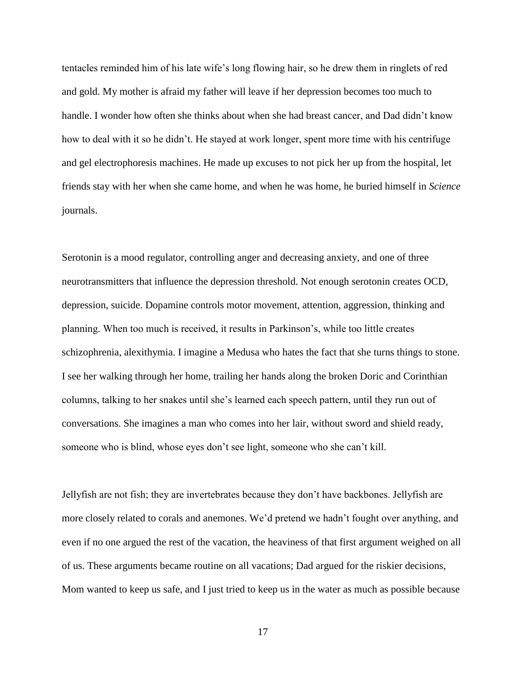tentacles reminded him of his late wife's long flowing hair, so he drew them in ringlets of red and gold. My mother is afraid my father will leave if her depression becomes too much to handle. I wonder how often she thinks about when she had breast cancer, and Dad didn't know how to deal with it so he didn't. He stayed at work longer, spent more time with his centrifuge and gel electrophoresis machines. He made up excuses to not pick her up from the hospital, let friends stay with her when she came home, and when he was home, he buried himself in *Science* journals.

Serotonin is a mood regulator, controlling anger and decreasing anxiety, and one of three neurotransmitters that influence the depression threshold. Not enough serotonin creates OCD, depression, suicide. Dopamine controls motor movement, attention, aggression, thinking and planning. When too much is received, it results in Parkinson's, while too little creates schizophrenia, alexithymia. I imagine a Medusa who hates the fact that she turns things to stone. I see her walking through her home, trailing her hands along the broken Doric and Corinthian columns, talking to her snakes until she's learned each speech pattern, until they run out of conversations. She imagines a man who comes into her lair, without sword and shield ready, someone who is blind, whose eyes don't see light, someone who she can't kill.

Jellyfish are not fish; they are invertebrates because they don't have backbones. Jellyfish are more closely related to corals and anemones. We'd pretend we hadn't fought over anything, and even if no one argued the rest of the vacation, the heaviness of that first argument weighed on all of us. These arguments became routine on all vacations; Dad argued for the riskier decisions, Mom wanted to keep us safe, and I just tried to keep us in the water as much as possible because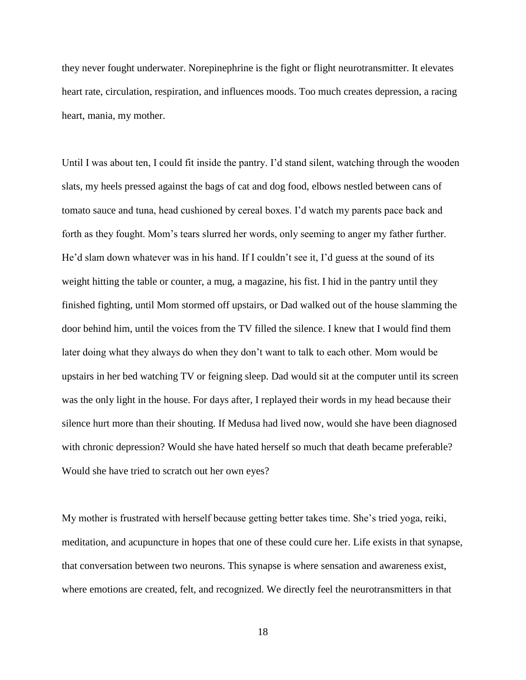they never fought underwater. Norepinephrine is the fight or flight neurotransmitter. It elevates heart rate, circulation, respiration, and influences moods. Too much creates depression, a racing heart, mania, my mother.

Until I was about ten, I could fit inside the pantry. I'd stand silent, watching through the wooden slats, my heels pressed against the bags of cat and dog food, elbows nestled between cans of tomato sauce and tuna, head cushioned by cereal boxes. I'd watch my parents pace back and forth as they fought. Mom's tears slurred her words, only seeming to anger my father further. He'd slam down whatever was in his hand. If I couldn't see it, I'd guess at the sound of its weight hitting the table or counter, a mug, a magazine, his fist. I hid in the pantry until they finished fighting, until Mom stormed off upstairs, or Dad walked out of the house slamming the door behind him, until the voices from the TV filled the silence. I knew that I would find them later doing what they always do when they don't want to talk to each other. Mom would be upstairs in her bed watching TV or feigning sleep. Dad would sit at the computer until its screen was the only light in the house. For days after, I replayed their words in my head because their silence hurt more than their shouting. If Medusa had lived now, would she have been diagnosed with chronic depression? Would she have hated herself so much that death became preferable? Would she have tried to scratch out her own eyes?

My mother is frustrated with herself because getting better takes time. She's tried yoga, reiki, meditation, and acupuncture in hopes that one of these could cure her. Life exists in that synapse, that conversation between two neurons. This synapse is where sensation and awareness exist, where emotions are created, felt, and recognized. We directly feel the neurotransmitters in that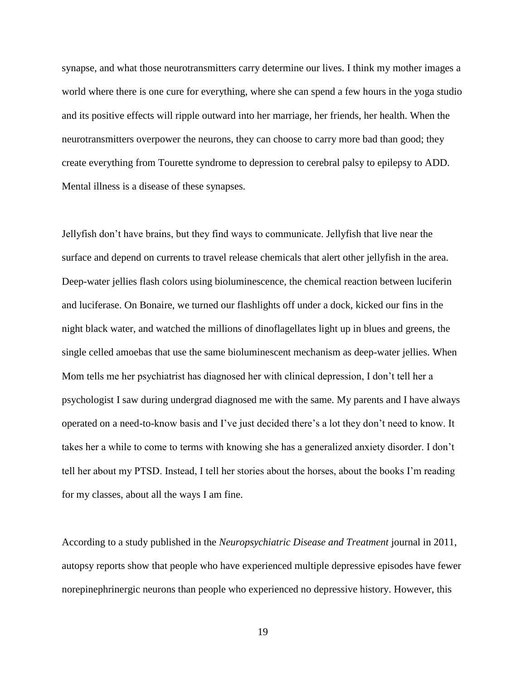synapse, and what those neurotransmitters carry determine our lives. I think my mother images a world where there is one cure for everything, where she can spend a few hours in the yoga studio and its positive effects will ripple outward into her marriage, her friends, her health. When the neurotransmitters overpower the neurons, they can choose to carry more bad than good; they create everything from Tourette syndrome to depression to cerebral palsy to epilepsy to ADD. Mental illness is a disease of these synapses.

Jellyfish don't have brains, but they find ways to communicate. Jellyfish that live near the surface and depend on currents to travel release chemicals that alert other jellyfish in the area. Deep-water jellies flash colors using bioluminescence, the chemical reaction between luciferin and luciferase. On Bonaire, we turned our flashlights off under a dock, kicked our fins in the night black water, and watched the millions of dinoflagellates light up in blues and greens, the single celled amoebas that use the same bioluminescent mechanism as deep-water jellies. When Mom tells me her psychiatrist has diagnosed her with clinical depression, I don't tell her a psychologist I saw during undergrad diagnosed me with the same. My parents and I have always operated on a need-to-know basis and I've just decided there's a lot they don't need to know. It takes her a while to come to terms with knowing she has a generalized anxiety disorder. I don't tell her about my PTSD. Instead, I tell her stories about the horses, about the books I'm reading for my classes, about all the ways I am fine.

According to a study published in the *Neuropsychiatric Disease and Treatment* journal in 2011, autopsy reports show that people who have experienced multiple depressive episodes have fewer norepinephrinergic neurons than people who experienced no depressive history. However, this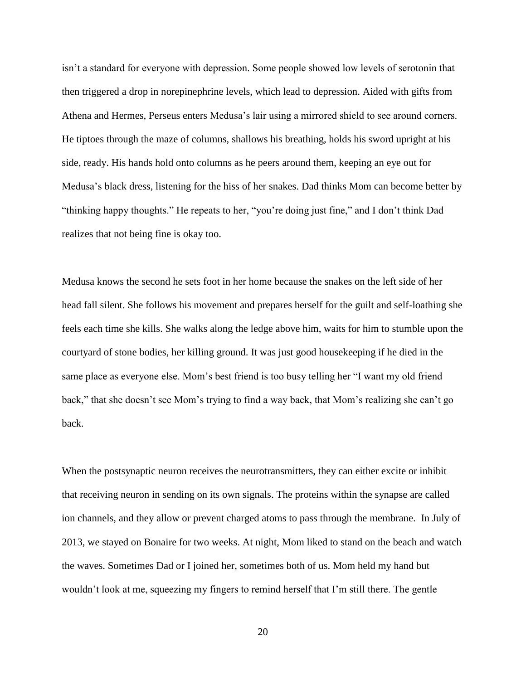isn't a standard for everyone with depression. Some people showed low levels of serotonin that then triggered a drop in norepinephrine levels, which lead to depression. Aided with gifts from Athena and Hermes, Perseus enters Medusa's lair using a mirrored shield to see around corners. He tiptoes through the maze of columns, shallows his breathing, holds his sword upright at his side, ready. His hands hold onto columns as he peers around them, keeping an eye out for Medusa's black dress, listening for the hiss of her snakes. Dad thinks Mom can become better by "thinking happy thoughts." He repeats to her, "you're doing just fine," and I don't think Dad realizes that not being fine is okay too.

Medusa knows the second he sets foot in her home because the snakes on the left side of her head fall silent. She follows his movement and prepares herself for the guilt and self-loathing she feels each time she kills. She walks along the ledge above him, waits for him to stumble upon the courtyard of stone bodies, her killing ground. It was just good housekeeping if he died in the same place as everyone else. Mom's best friend is too busy telling her "I want my old friend back," that she doesn't see Mom's trying to find a way back, that Mom's realizing she can't go back.

When the postsynaptic neuron receives the neurotransmitters, they can either excite or inhibit that receiving neuron in sending on its own signals. The proteins within the synapse are called ion channels, and they allow or prevent charged atoms to pass through the membrane. In July of 2013, we stayed on Bonaire for two weeks. At night, Mom liked to stand on the beach and watch the waves. Sometimes Dad or I joined her, sometimes both of us. Mom held my hand but wouldn't look at me, squeezing my fingers to remind herself that I'm still there. The gentle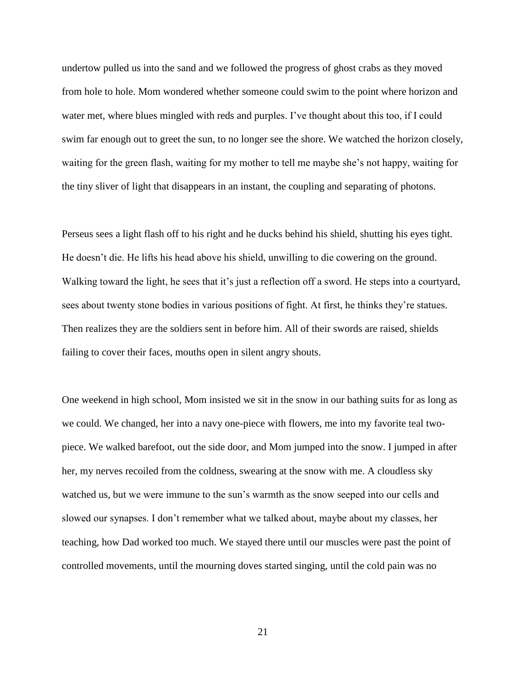undertow pulled us into the sand and we followed the progress of ghost crabs as they moved from hole to hole. Mom wondered whether someone could swim to the point where horizon and water met, where blues mingled with reds and purples. I've thought about this too, if I could swim far enough out to greet the sun, to no longer see the shore. We watched the horizon closely, waiting for the green flash, waiting for my mother to tell me maybe she's not happy, waiting for the tiny sliver of light that disappears in an instant, the coupling and separating of photons.

Perseus sees a light flash off to his right and he ducks behind his shield, shutting his eyes tight. He doesn't die. He lifts his head above his shield, unwilling to die cowering on the ground. Walking toward the light, he sees that it's just a reflection off a sword. He steps into a courtyard, sees about twenty stone bodies in various positions of fight. At first, he thinks they're statues. Then realizes they are the soldiers sent in before him. All of their swords are raised, shields failing to cover their faces, mouths open in silent angry shouts.

One weekend in high school, Mom insisted we sit in the snow in our bathing suits for as long as we could. We changed, her into a navy one-piece with flowers, me into my favorite teal twopiece. We walked barefoot, out the side door, and Mom jumped into the snow. I jumped in after her, my nerves recoiled from the coldness, swearing at the snow with me. A cloudless sky watched us, but we were immune to the sun's warmth as the snow seeped into our cells and slowed our synapses. I don't remember what we talked about, maybe about my classes, her teaching, how Dad worked too much. We stayed there until our muscles were past the point of controlled movements, until the mourning doves started singing, until the cold pain was no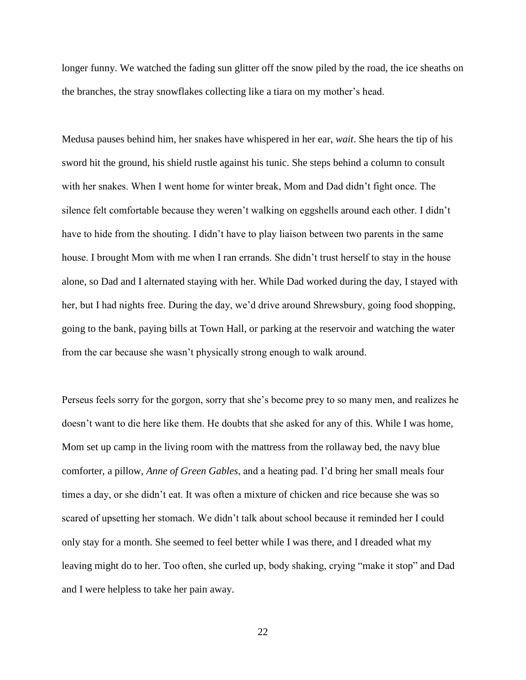longer funny. We watched the fading sun glitter off the snow piled by the road, the ice sheaths on the branches, the stray snowflakes collecting like a tiara on my mother's head.

Medusa pauses behind him, her snakes have whispered in her ear, *wait*. She hears the tip of his sword hit the ground, his shield rustle against his tunic. She steps behind a column to consult with her snakes. When I went home for winter break, Mom and Dad didn't fight once. The silence felt comfortable because they weren't walking on eggshells around each other. I didn't have to hide from the shouting. I didn't have to play liaison between two parents in the same house. I brought Mom with me when I ran errands. She didn't trust herself to stay in the house alone, so Dad and I alternated staying with her. While Dad worked during the day, I stayed with her, but I had nights free. During the day, we'd drive around Shrewsbury, going food shopping, going to the bank, paying bills at Town Hall, or parking at the reservoir and watching the water from the car because she wasn't physically strong enough to walk around.

Perseus feels sorry for the gorgon, sorry that she's become prey to so many men, and realizes he doesn't want to die here like them. He doubts that she asked for any of this. While I was home, Mom set up camp in the living room with the mattress from the rollaway bed, the navy blue comforter, a pillow, *Anne of Green Gables*, and a heating pad. I'd bring her small meals four times a day, or she didn't eat. It was often a mixture of chicken and rice because she was so scared of upsetting her stomach. We didn't talk about school because it reminded her I could only stay for a month. She seemed to feel better while I was there, and I dreaded what my leaving might do to her. Too often, she curled up, body shaking, crying "make it stop" and Dad and I were helpless to take her pain away.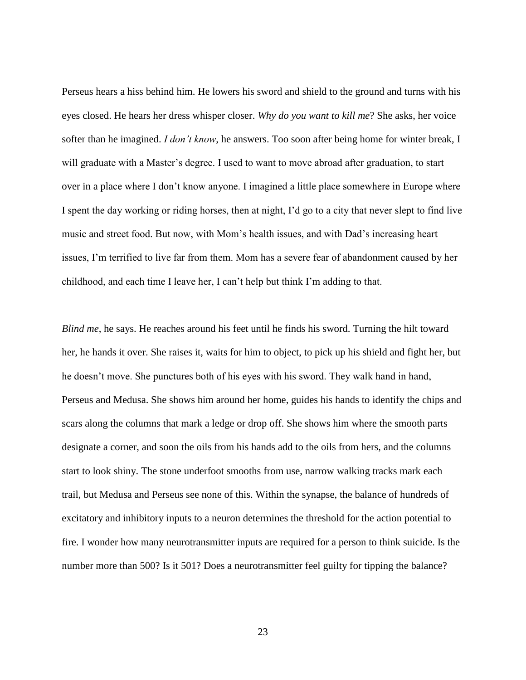Perseus hears a hiss behind him. He lowers his sword and shield to the ground and turns with his eyes closed. He hears her dress whisper closer. *Why do you want to kill me*? She asks, her voice softer than he imagined. *I don't know*, he answers. Too soon after being home for winter break, I will graduate with a Master's degree. I used to want to move abroad after graduation, to start over in a place where I don't know anyone. I imagined a little place somewhere in Europe where I spent the day working or riding horses, then at night, I'd go to a city that never slept to find live music and street food. But now, with Mom's health issues, and with Dad's increasing heart issues, I'm terrified to live far from them. Mom has a severe fear of abandonment caused by her childhood, and each time I leave her, I can't help but think I'm adding to that.

*Blind me*, he says. He reaches around his feet until he finds his sword. Turning the hilt toward her, he hands it over. She raises it, waits for him to object, to pick up his shield and fight her, but he doesn't move. She punctures both of his eyes with his sword. They walk hand in hand, Perseus and Medusa. She shows him around her home, guides his hands to identify the chips and scars along the columns that mark a ledge or drop off. She shows him where the smooth parts designate a corner, and soon the oils from his hands add to the oils from hers, and the columns start to look shiny. The stone underfoot smooths from use, narrow walking tracks mark each trail, but Medusa and Perseus see none of this. Within the synapse, the balance of hundreds of excitatory and inhibitory inputs to a neuron determines the threshold for the action potential to fire. I wonder how many neurotransmitter inputs are required for a person to think suicide. Is the number more than 500? Is it 501? Does a neurotransmitter feel guilty for tipping the balance?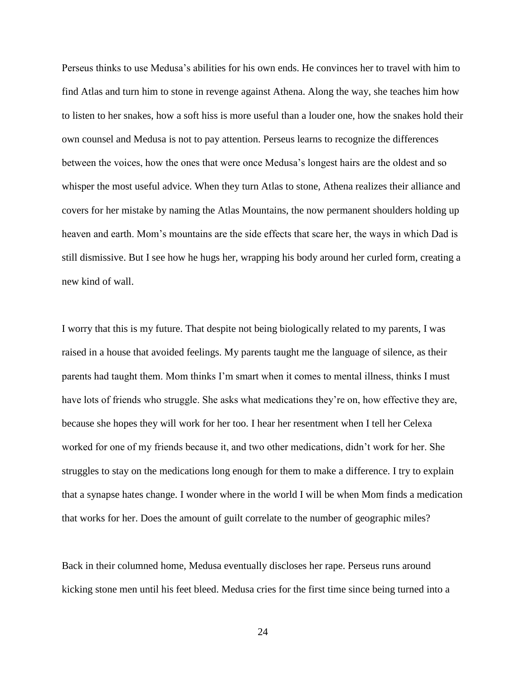Perseus thinks to use Medusa's abilities for his own ends. He convinces her to travel with him to find Atlas and turn him to stone in revenge against Athena. Along the way, she teaches him how to listen to her snakes, how a soft hiss is more useful than a louder one, how the snakes hold their own counsel and Medusa is not to pay attention. Perseus learns to recognize the differences between the voices, how the ones that were once Medusa's longest hairs are the oldest and so whisper the most useful advice. When they turn Atlas to stone, Athena realizes their alliance and covers for her mistake by naming the Atlas Mountains, the now permanent shoulders holding up heaven and earth. Mom's mountains are the side effects that scare her, the ways in which Dad is still dismissive. But I see how he hugs her, wrapping his body around her curled form, creating a new kind of wall.

I worry that this is my future. That despite not being biologically related to my parents, I was raised in a house that avoided feelings. My parents taught me the language of silence, as their parents had taught them. Mom thinks I'm smart when it comes to mental illness, thinks I must have lots of friends who struggle. She asks what medications they're on, how effective they are, because she hopes they will work for her too. I hear her resentment when I tell her Celexa worked for one of my friends because it, and two other medications, didn't work for her. She struggles to stay on the medications long enough for them to make a difference. I try to explain that a synapse hates change. I wonder where in the world I will be when Mom finds a medication that works for her. Does the amount of guilt correlate to the number of geographic miles?

Back in their columned home, Medusa eventually discloses her rape. Perseus runs around kicking stone men until his feet bleed. Medusa cries for the first time since being turned into a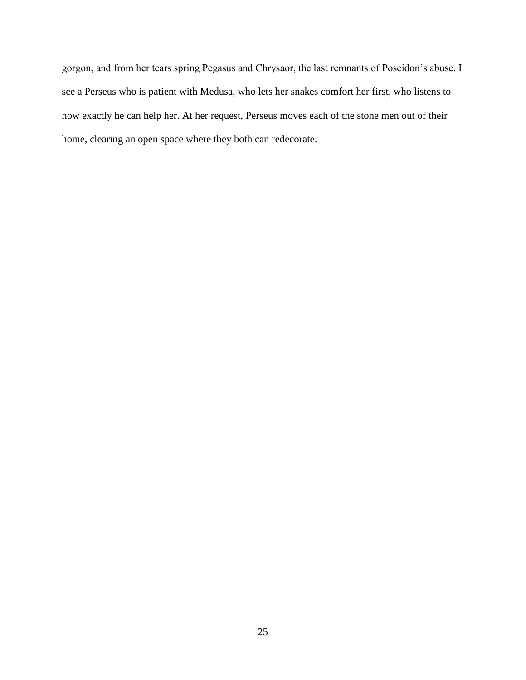gorgon, and from her tears spring Pegasus and Chrysaor, the last remnants of Poseidon's abuse. I see a Perseus who is patient with Medusa, who lets her snakes comfort her first, who listens to how exactly he can help her. At her request, Perseus moves each of the stone men out of their home, clearing an open space where they both can redecorate.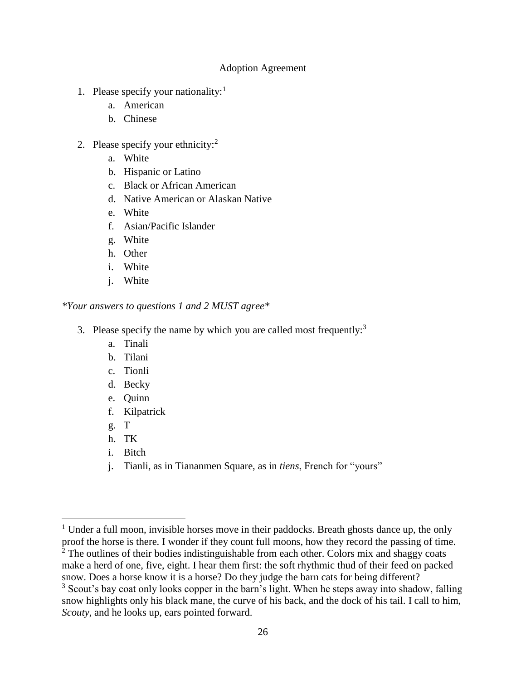# Adoption Agreement

- <span id="page-30-0"></span>1. Please specify your nationality:<sup>1</sup>
	- a. American
	- b. Chinese
- 2. Please specify your ethnicity: $2^2$ 
	- a. White
	- b. Hispanic or Latino
	- c. Black or African American
	- d. Native American or Alaskan Native
	- e. White
	- f. Asian/Pacific Islander
	- g. White
	- h. Other
	- i. White
	- j. White

## *\*Your answers to questions 1 and 2 MUST agree\**

- 3. Please specify the name by which you are called most frequently: $3$ 
	- a. Tinali
	- b. Tilani
	- c. Tionli
	- d. Becky
	- e. Quinn
	- f. Kilpatrick
	- g. T

 $\overline{a}$ 

- h. TK
- i. Bitch
- j. Tianli, as in Tiananmen Square, as in *tiens*, French for "yours"

 $2^{\overline{2}}$  The outlines of their bodies indistinguishable from each other. Colors mix and shaggy coats make a herd of one, five, eight. I hear them first: the soft rhythmic thud of their feed on packed

 $1$  Under a full moon, invisible horses move in their paddocks. Breath ghosts dance up, the only proof the horse is there. I wonder if they count full moons, how they record the passing of time.

snow. Does a horse know it is a horse? Do they judge the barn cats for being different?

 $3$  Scout's bay coat only looks copper in the barn's light. When he steps away into shadow, falling snow highlights only his black mane, the curve of his back, and the dock of his tail. I call to him, *Scouty*, and he looks up, ears pointed forward.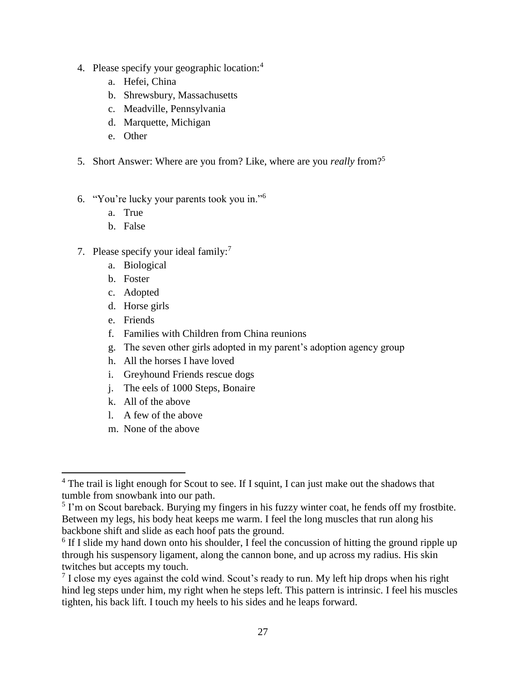- 4. Please specify your geographic location:<sup>4</sup>
	- a. Hefei, China
	- b. Shrewsbury, Massachusetts
	- c. Meadville, Pennsylvania
	- d. Marquette, Michigan
	- e. Other
- 5. Short Answer: Where are you from? Like, where are you *really* from?<sup>5</sup>
- 6. "You're lucky your parents took you in."<sup>6</sup>
	- a. True
	- b. False
- 7. Please specify your ideal family: $<sup>7</sup>$ </sup>
	- a. Biological
	- b. Foster
	- c. Adopted
	- d. Horse girls
	- e. Friends

 $\overline{a}$ 

- f. Families with Children from China reunions
- g. The seven other girls adopted in my parent's adoption agency group
- h. All the horses I have loved
- i. Greyhound Friends rescue dogs
- j. The eels of 1000 Steps, Bonaire
- k. All of the above
- l. A few of the above
- m. None of the above

<sup>&</sup>lt;sup>4</sup> The trail is light enough for Scout to see. If I squint, I can just make out the shadows that tumble from snowbank into our path.

<sup>&</sup>lt;sup>5</sup> I'm on Scout bareback. Burying my fingers in his fuzzy winter coat, he fends off my frostbite. Between my legs, his body heat keeps me warm. I feel the long muscles that run along his backbone shift and slide as each hoof pats the ground.

<sup>&</sup>lt;sup>6</sup> If I slide my hand down onto his shoulder, I feel the concussion of hitting the ground ripple up through his suspensory ligament, along the cannon bone, and up across my radius. His skin twitches but accepts my touch.

 $7$  I close my eyes against the cold wind. Scout's ready to run. My left hip drops when his right hind leg steps under him, my right when he steps left. This pattern is intrinsic. I feel his muscles tighten, his back lift. I touch my heels to his sides and he leaps forward.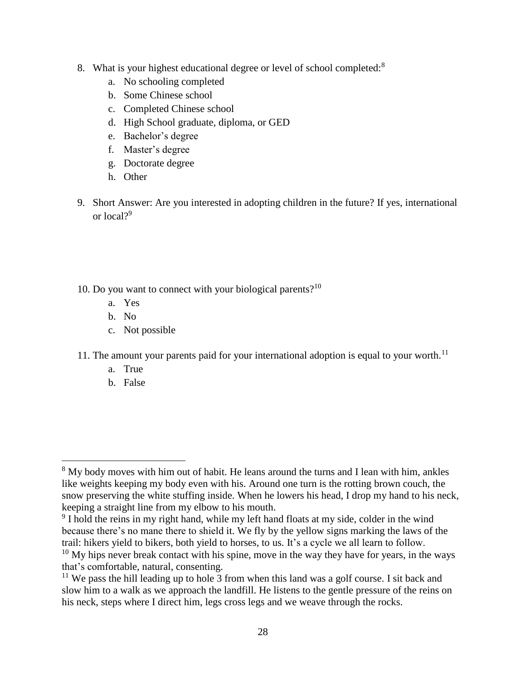- 8. What is your highest educational degree or level of school completed:<sup>8</sup>
	- a. No schooling completed
	- b. Some Chinese school
	- c. Completed Chinese school
	- d. High School graduate, diploma, or GED
	- e. Bachelor's degree
	- f. Master's degree
	- g. Doctorate degree
	- h. Other
- 9. Short Answer: Are you interested in adopting children in the future? If yes, international or local?<sup>9</sup>
- 10. Do you want to connect with your biological parents? $10<sup>10</sup>$ 
	- a. Yes
	- b. No
	- c. Not possible
- 11. The amount your parents paid for your international adoption is equal to your worth.<sup>11</sup>
	- a. True
	- b. False

l

<sup>&</sup>lt;sup>8</sup> My body moves with him out of habit. He leans around the turns and I lean with him, ankles like weights keeping my body even with his. Around one turn is the rotting brown couch, the snow preserving the white stuffing inside. When he lowers his head, I drop my hand to his neck, keeping a straight line from my elbow to his mouth.

<sup>&</sup>lt;sup>9</sup> I hold the reins in my right hand, while my left hand floats at my side, colder in the wind because there's no mane there to shield it. We fly by the yellow signs marking the laws of the trail: hikers yield to bikers, both yield to horses, to us. It's a cycle we all learn to follow.

 $10$  My hips never break contact with his spine, move in the way they have for years, in the ways that's comfortable, natural, consenting.

<sup>&</sup>lt;sup>11</sup> We pass the hill leading up to hole  $\overline{3}$  from when this land was a golf course. I sit back and slow him to a walk as we approach the landfill. He listens to the gentle pressure of the reins on his neck, steps where I direct him, legs cross legs and we weave through the rocks.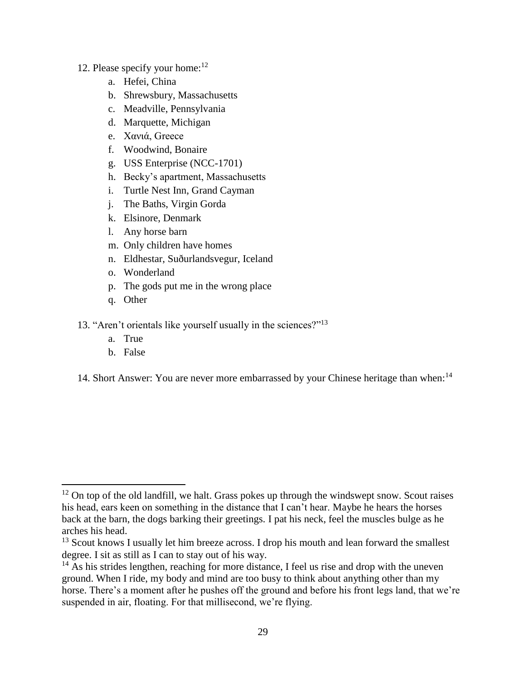# 12. Please specify your home: $12$

- a. Hefei, China
- b. Shrewsbury, Massachusetts
- c. Meadville, Pennsylvania
- d. Marquette, Michigan
- e. Χανιά, Greece
- f. Woodwind, Bonaire
- g. USS Enterprise (NCC-1701)
- h. Becky's apartment, Massachusetts
- i. Turtle Nest Inn, Grand Cayman
- j. The Baths, Virgin Gorda
- k. Elsinore, Denmark
- l. Any horse barn
- m. Only children have homes
- n. Eldhestar, Suðurlandsvegur, Iceland
- o. Wonderland
- p. The gods put me in the wrong place
- q. Other
- 13. "Aren't orientals like yourself usually in the sciences?"<sup>13</sup>
	- a. True
	- b. False

 $\overline{\phantom{a}}$ 

14. Short Answer: You are never more embarrassed by your Chinese heritage than when:<sup>14</sup>

 $12$  On top of the old landfill, we halt. Grass pokes up through the windswept snow. Scout raises his head, ears keen on something in the distance that I can't hear. Maybe he hears the horses back at the barn, the dogs barking their greetings. I pat his neck, feel the muscles bulge as he arches his head.

 $13$  Scout knows I usually let him breeze across. I drop his mouth and lean forward the smallest degree. I sit as still as I can to stay out of his way.

 $14$  As his strides lengthen, reaching for more distance, I feel us rise and drop with the uneven ground. When I ride, my body and mind are too busy to think about anything other than my horse. There's a moment after he pushes off the ground and before his front legs land, that we're suspended in air, floating. For that millisecond, we're flying.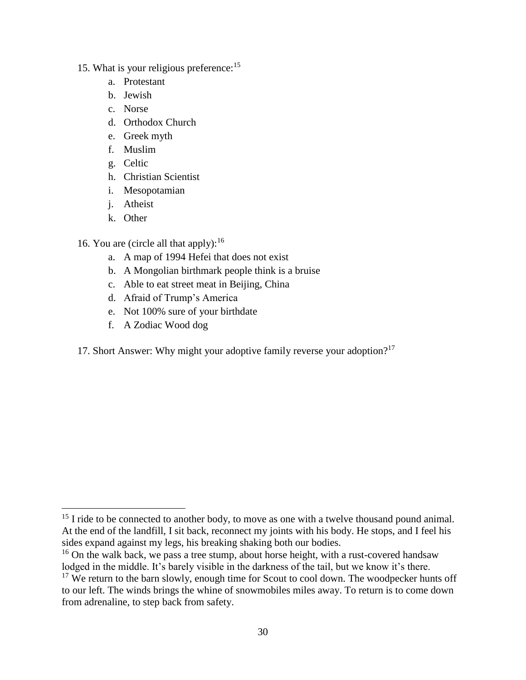# 15. What is your religious preference:<sup>15</sup>

- a. Protestant
- b. Jewish
- c. Norse
- d. Orthodox Church
- e. Greek myth
- f. Muslim
- g. Celtic
- h. Christian Scientist
- i. Mesopotamian
- j. Atheist
- k. Other
- 16. You are (circle all that apply):  $16$ 
	- a. A map of 1994 Hefei that does not exist
	- b. A Mongolian birthmark people think is a bruise
	- c. Able to eat street meat in Beijing, China
	- d. Afraid of Trump's America
	- e. Not 100% sure of your birthdate
	- f. A Zodiac Wood dog
- 17. Short Answer: Why might your adoptive family reverse your adoption?<sup>17</sup>

 $\overline{\phantom{a}}$  $15$  I ride to be connected to another body, to move as one with a twelve thousand pound animal. At the end of the landfill, I sit back, reconnect my joints with his body. He stops, and I feel his sides expand against my legs, his breaking shaking both our bodies.

<sup>&</sup>lt;sup>16</sup> On the walk back, we pass a tree stump, about horse height, with a rust-covered handsaw lodged in the middle. It's barely visible in the darkness of the tail, but we know it's there.

 $17$  We return to the barn slowly, enough time for Scout to cool down. The woodpecker hunts off to our left. The winds brings the whine of snowmobiles miles away. To return is to come down from adrenaline, to step back from safety.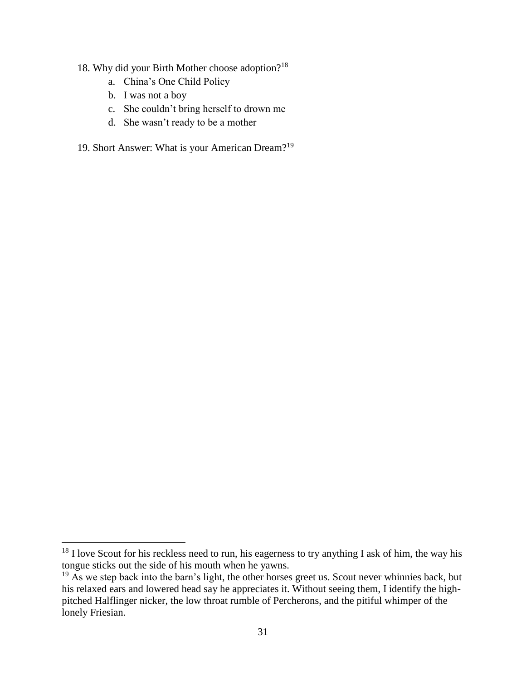- 18. Why did your Birth Mother choose adoption?<sup>18</sup>
	- a. China's One Child Policy
	- b. I was not a boy

 $\overline{\phantom{a}}$ 

- c. She couldn't bring herself to drown me
- d. She wasn't ready to be a mother
- 19. Short Answer: What is your American Dream?<sup>19</sup>

<sup>&</sup>lt;sup>18</sup> I love Scout for his reckless need to run, his eagerness to try anything I ask of him, the way his tongue sticks out the side of his mouth when he yawns.

 $19$  As we step back into the barn's light, the other horses greet us. Scout never whinnies back, but his relaxed ears and lowered head say he appreciates it. Without seeing them, I identify the highpitched Halflinger nicker, the low throat rumble of Percherons, and the pitiful whimper of the lonely Friesian.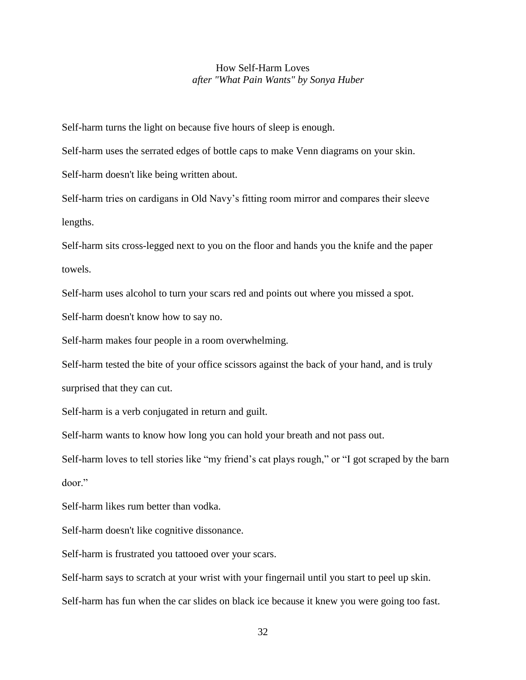## How Self-Harm Loves *after "What Pain Wants" by Sonya Huber*

<span id="page-36-0"></span>Self-harm turns the light on because five hours of sleep is enough.

Self-harm uses the serrated edges of bottle caps to make Venn diagrams on your skin.

Self-harm doesn't like being written about.

Self-harm tries on cardigans in Old Navy's fitting room mirror and compares their sleeve lengths.

Self-harm sits cross-legged next to you on the floor and hands you the knife and the paper towels.

Self-harm uses alcohol to turn your scars red and points out where you missed a spot.

Self-harm doesn't know how to say no.

Self-harm makes four people in a room overwhelming.

Self-harm tested the bite of your office scissors against the back of your hand, and is truly

surprised that they can cut.

Self-harm is a verb conjugated in return and guilt.

Self-harm wants to know how long you can hold your breath and not pass out.

Self-harm loves to tell stories like "my friend's cat plays rough," or "I got scraped by the barn door."

Self-harm likes rum better than vodka.

Self-harm doesn't like cognitive dissonance.

Self-harm is frustrated you tattooed over your scars.

Self-harm says to scratch at your wrist with your fingernail until you start to peel up skin.

Self-harm has fun when the car slides on black ice because it knew you were going too fast.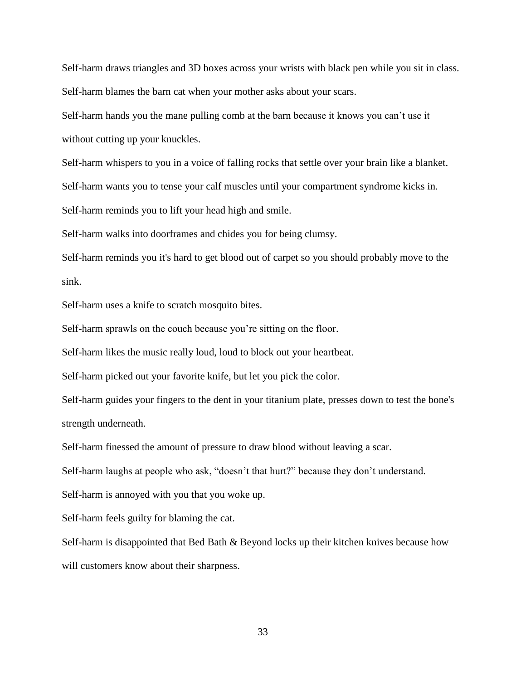Self-harm draws triangles and 3D boxes across your wrists with black pen while you sit in class. Self-harm blames the barn cat when your mother asks about your scars.

Self-harm hands you the mane pulling comb at the barn because it knows you can't use it without cutting up your knuckles.

Self-harm whispers to you in a voice of falling rocks that settle over your brain like a blanket.

Self-harm wants you to tense your calf muscles until your compartment syndrome kicks in.

Self-harm reminds you to lift your head high and smile.

Self-harm walks into doorframes and chides you for being clumsy.

Self-harm reminds you it's hard to get blood out of carpet so you should probably move to the sink.

Self-harm uses a knife to scratch mosquito bites.

Self-harm sprawls on the couch because you're sitting on the floor.

Self-harm likes the music really loud, loud to block out your heartbeat.

Self-harm picked out your favorite knife, but let you pick the color.

Self-harm guides your fingers to the dent in your titanium plate, presses down to test the bone's strength underneath.

Self-harm finessed the amount of pressure to draw blood without leaving a scar.

Self-harm laughs at people who ask, "doesn't that hurt?" because they don't understand.

Self-harm is annoyed with you that you woke up.

Self-harm feels guilty for blaming the cat.

Self-harm is disappointed that Bed Bath & Beyond locks up their kitchen knives because how will customers know about their sharpness.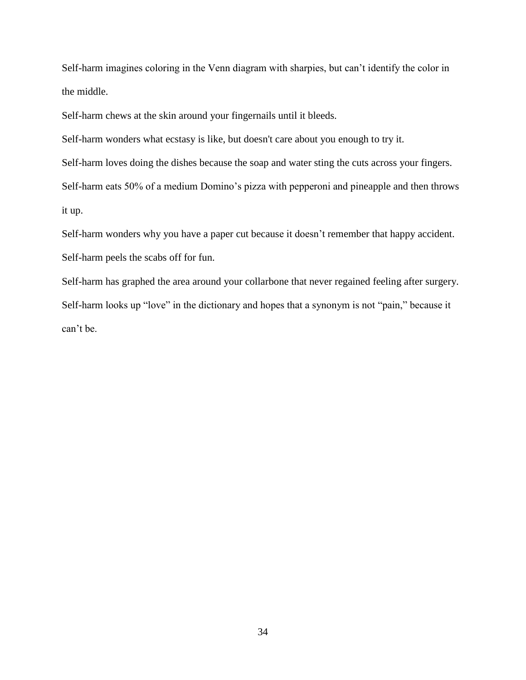Self-harm imagines coloring in the Venn diagram with sharpies, but can't identify the color in the middle.

Self-harm chews at the skin around your fingernails until it bleeds.

Self-harm wonders what ecstasy is like, but doesn't care about you enough to try it.

Self-harm loves doing the dishes because the soap and water sting the cuts across your fingers.

Self-harm eats 50% of a medium Domino's pizza with pepperoni and pineapple and then throws

it up.

Self-harm wonders why you have a paper cut because it doesn't remember that happy accident. Self-harm peels the scabs off for fun.

Self-harm has graphed the area around your collarbone that never regained feeling after surgery. Self-harm looks up "love" in the dictionary and hopes that a synonym is not "pain," because it can't be.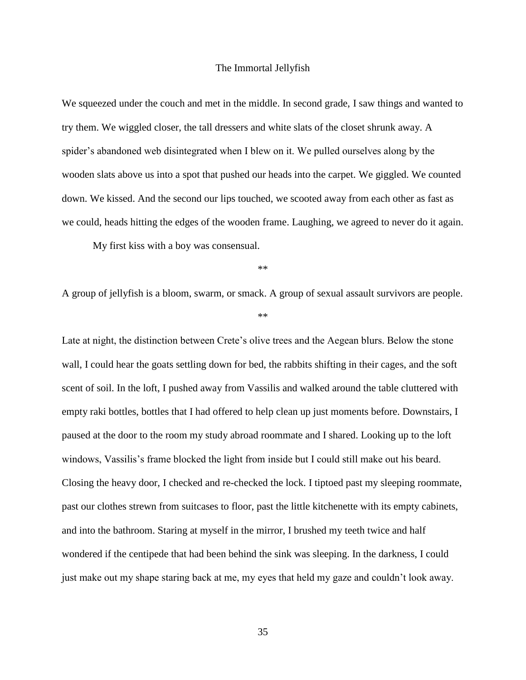#### The Immortal Jellyfish

<span id="page-39-0"></span>We squeezed under the couch and met in the middle. In second grade, I saw things and wanted to try them. We wiggled closer, the tall dressers and white slats of the closet shrunk away. A spider's abandoned web disintegrated when I blew on it. We pulled ourselves along by the wooden slats above us into a spot that pushed our heads into the carpet. We giggled. We counted down. We kissed. And the second our lips touched, we scooted away from each other as fast as we could, heads hitting the edges of the wooden frame. Laughing, we agreed to never do it again.

My first kiss with a boy was consensual.

\*\*

A group of jellyfish is a bloom, swarm, or smack. A group of sexual assault survivors are people.

\*\*

Late at night, the distinction between Crete's olive trees and the Aegean blurs. Below the stone wall, I could hear the goats settling down for bed, the rabbits shifting in their cages, and the soft scent of soil. In the loft, I pushed away from Vassilis and walked around the table cluttered with empty raki bottles, bottles that I had offered to help clean up just moments before. Downstairs, I paused at the door to the room my study abroad roommate and I shared. Looking up to the loft windows, Vassilis's frame blocked the light from inside but I could still make out his beard. Closing the heavy door, I checked and re-checked the lock. I tiptoed past my sleeping roommate, past our clothes strewn from suitcases to floor, past the little kitchenette with its empty cabinets, and into the bathroom. Staring at myself in the mirror, I brushed my teeth twice and half wondered if the centipede that had been behind the sink was sleeping. In the darkness, I could just make out my shape staring back at me, my eyes that held my gaze and couldn't look away.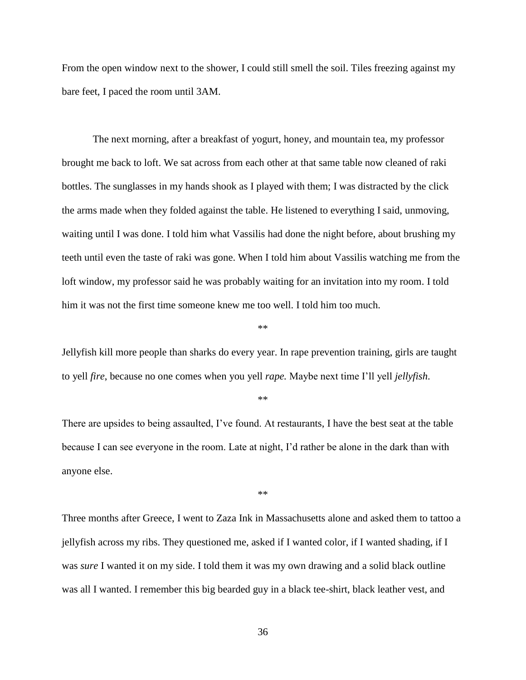From the open window next to the shower, I could still smell the soil. Tiles freezing against my bare feet, I paced the room until 3AM.

The next morning, after a breakfast of yogurt, honey, and mountain tea, my professor brought me back to loft. We sat across from each other at that same table now cleaned of raki bottles. The sunglasses in my hands shook as I played with them; I was distracted by the click the arms made when they folded against the table. He listened to everything I said, unmoving, waiting until I was done. I told him what Vassilis had done the night before, about brushing my teeth until even the taste of raki was gone. When I told him about Vassilis watching me from the loft window, my professor said he was probably waiting for an invitation into my room. I told him it was not the first time someone knew me too well. I told him too much.

\*\*

Jellyfish kill more people than sharks do every year. In rape prevention training, girls are taught to yell *fire*, because no one comes when you yell *rape.* Maybe next time I'll yell *jellyfish*.

\*\*

There are upsides to being assaulted, I've found. At restaurants, I have the best seat at the table because I can see everyone in the room. Late at night, I'd rather be alone in the dark than with anyone else.

\*\*

Three months after Greece, I went to Zaza Ink in Massachusetts alone and asked them to tattoo a jellyfish across my ribs. They questioned me, asked if I wanted color, if I wanted shading, if I was *sure* I wanted it on my side. I told them it was my own drawing and a solid black outline was all I wanted. I remember this big bearded guy in a black tee-shirt, black leather vest, and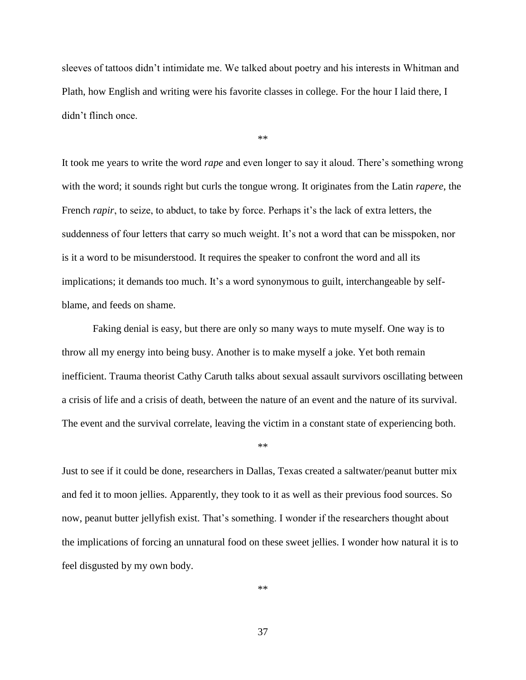sleeves of tattoos didn't intimidate me. We talked about poetry and his interests in Whitman and Plath, how English and writing were his favorite classes in college. For the hour I laid there, I didn't flinch once.

\*\*

It took me years to write the word *rape* and even longer to say it aloud. There's something wrong with the word; it sounds right but curls the tongue wrong. It originates from the Latin *rapere*, the French *rapir*, to seize, to abduct, to take by force. Perhaps it's the lack of extra letters, the suddenness of four letters that carry so much weight. It's not a word that can be misspoken, nor is it a word to be misunderstood. It requires the speaker to confront the word and all its implications; it demands too much. It's a word synonymous to guilt, interchangeable by selfblame, and feeds on shame.

Faking denial is easy, but there are only so many ways to mute myself. One way is to throw all my energy into being busy. Another is to make myself a joke. Yet both remain inefficient. Trauma theorist Cathy Caruth talks about sexual assault survivors oscillating between a crisis of life and a crisis of death, between the nature of an event and the nature of its survival. The event and the survival correlate, leaving the victim in a constant state of experiencing both.

\*\*

Just to see if it could be done, researchers in Dallas, Texas created a saltwater/peanut butter mix and fed it to moon jellies. Apparently, they took to it as well as their previous food sources. So now, peanut butter jellyfish exist. That's something. I wonder if the researchers thought about the implications of forcing an unnatural food on these sweet jellies. I wonder how natural it is to feel disgusted by my own body.

\*\*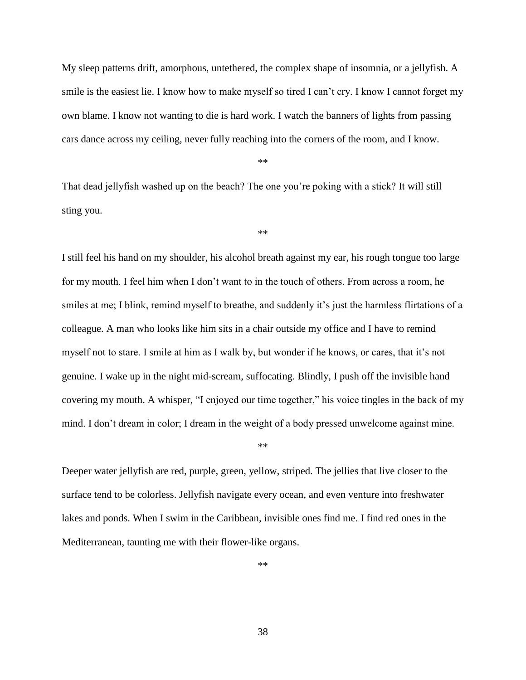My sleep patterns drift, amorphous, untethered, the complex shape of insomnia, or a jellyfish. A smile is the easiest lie. I know how to make myself so tired I can't cry. I know I cannot forget my own blame. I know not wanting to die is hard work. I watch the banners of lights from passing cars dance across my ceiling, never fully reaching into the corners of the room, and I know.

\*\*

That dead jellyfish washed up on the beach? The one you're poking with a stick? It will still sting you.

\*\*

I still feel his hand on my shoulder, his alcohol breath against my ear, his rough tongue too large for my mouth. I feel him when I don't want to in the touch of others. From across a room, he smiles at me; I blink, remind myself to breathe, and suddenly it's just the harmless flirtations of a colleague. A man who looks like him sits in a chair outside my office and I have to remind myself not to stare. I smile at him as I walk by, but wonder if he knows, or cares, that it's not genuine. I wake up in the night mid-scream, suffocating. Blindly, I push off the invisible hand covering my mouth. A whisper, "I enjoyed our time together," his voice tingles in the back of my mind. I don't dream in color; I dream in the weight of a body pressed unwelcome against mine.

\*\*

Deeper water jellyfish are red, purple, green, yellow, striped. The jellies that live closer to the surface tend to be colorless. Jellyfish navigate every ocean, and even venture into freshwater lakes and ponds. When I swim in the Caribbean, invisible ones find me. I find red ones in the Mediterranean, taunting me with their flower-like organs.

\*\*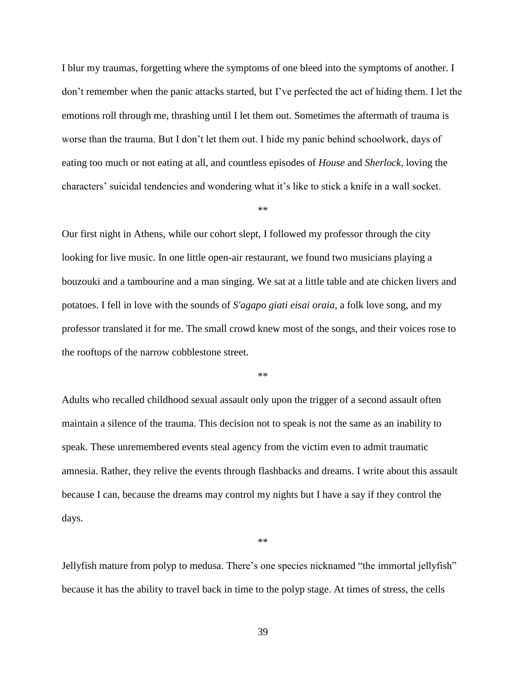I blur my traumas, forgetting where the symptoms of one bleed into the symptoms of another. I don't remember when the panic attacks started, but I've perfected the act of hiding them. I let the emotions roll through me, thrashing until I let them out. Sometimes the aftermath of trauma is worse than the trauma. But I don't let them out. I hide my panic behind schoolwork, days of eating too much or not eating at all, and countless episodes of *House* and *Sherlock*, loving the characters' suicidal tendencies and wondering what it's like to stick a knife in a wall socket.

\*\*

Our first night in Athens, while our cohort slept, I followed my professor through the city looking for live music. In one little open-air restaurant, we found two musicians playing a bouzouki and a tambourine and a man singing. We sat at a little table and ate chicken livers and potatoes. I fell in love with the sounds of *S'agapo giati eisai oraia*, a folk love song, and my professor translated it for me. The small crowd knew most of the songs, and their voices rose to the rooftops of the narrow cobblestone street.

\*\*

Adults who recalled childhood sexual assault only upon the trigger of a second assault often maintain a silence of the trauma. This decision not to speak is not the same as an inability to speak. These unremembered events steal agency from the victim even to admit traumatic amnesia. Rather, they relive the events through flashbacks and dreams. I write about this assault because I can, because the dreams may control my nights but I have a say if they control the days.

\*\*

Jellyfish mature from polyp to medusa. There's one species nicknamed "the immortal jellyfish" because it has the ability to travel back in time to the polyp stage. At times of stress, the cells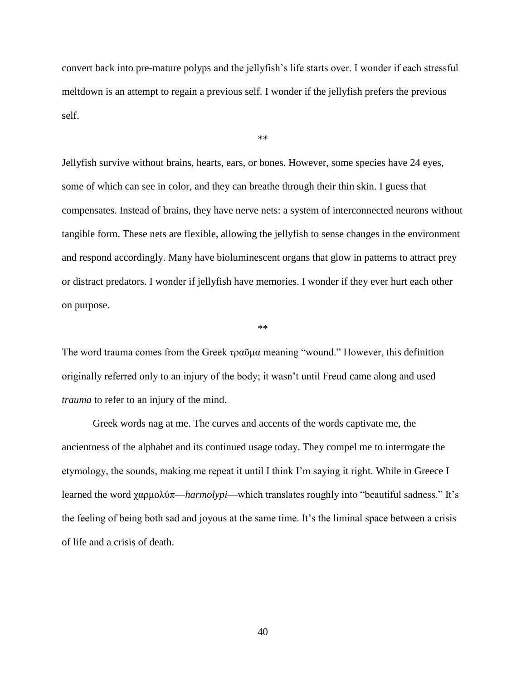convert back into pre-mature polyps and the jellyfish's life starts over. I wonder if each stressful meltdown is an attempt to regain a previous self. I wonder if the jellyfish prefers the previous self.

\*\*

Jellyfish survive without brains, hearts, ears, or bones. However, some species have 24 eyes, some of which can see in color, and they can breathe through their thin skin. I guess that compensates. Instead of brains, they have nerve nets: a system of interconnected neurons without tangible form. These nets are flexible, allowing the jellyfish to sense changes in the environment and respond accordingly. Many have bioluminescent organs that glow in patterns to attract prey or distract predators. I wonder if jellyfish have memories. I wonder if they ever hurt each other on purpose.

\*\*

The word trauma comes from the Greek τραῦμα meaning "wound." However, this definition originally referred only to an injury of the body; it wasn't until Freud came along and used *trauma* to refer to an injury of the mind.

Greek words nag at me. The curves and accents of the words captivate me, the ancientness of the alphabet and its continued usage today. They compel me to interrogate the etymology, the sounds, making me repeat it until I think I'm saying it right. While in Greece I learned the word χαρμολύπ—*harmolypi*—which translates roughly into "beautiful sadness." It's the feeling of being both sad and joyous at the same time. It's the liminal space between a crisis of life and a crisis of death.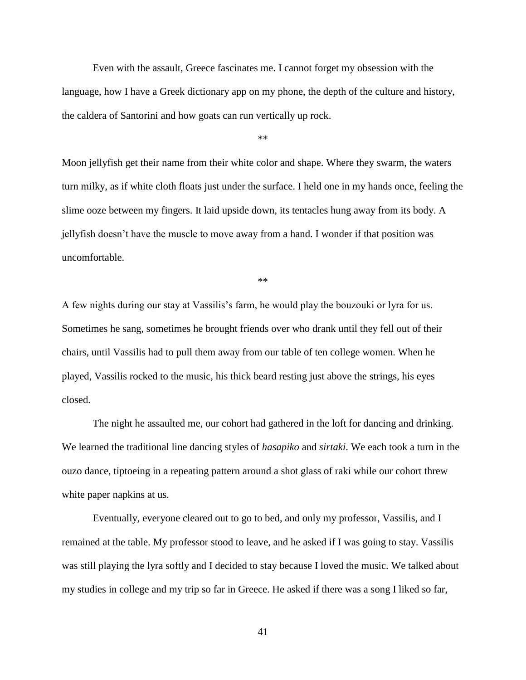Even with the assault, Greece fascinates me. I cannot forget my obsession with the language, how I have a Greek dictionary app on my phone, the depth of the culture and history, the caldera of Santorini and how goats can run vertically up rock.

\*\*

Moon jellyfish get their name from their white color and shape. Where they swarm, the waters turn milky, as if white cloth floats just under the surface. I held one in my hands once, feeling the slime ooze between my fingers. It laid upside down, its tentacles hung away from its body. A jellyfish doesn't have the muscle to move away from a hand. I wonder if that position was uncomfortable.

\*\*

A few nights during our stay at Vassilis's farm, he would play the bouzouki or lyra for us. Sometimes he sang, sometimes he brought friends over who drank until they fell out of their chairs, until Vassilis had to pull them away from our table of ten college women. When he played, Vassilis rocked to the music, his thick beard resting just above the strings, his eyes closed.

The night he assaulted me, our cohort had gathered in the loft for dancing and drinking. We learned the traditional line dancing styles of *hasapiko* and *sirtaki*. We each took a turn in the ouzo dance, tiptoeing in a repeating pattern around a shot glass of raki while our cohort threw white paper napkins at us.

Eventually, everyone cleared out to go to bed, and only my professor, Vassilis, and I remained at the table. My professor stood to leave, and he asked if I was going to stay. Vassilis was still playing the lyra softly and I decided to stay because I loved the music. We talked about my studies in college and my trip so far in Greece. He asked if there was a song I liked so far,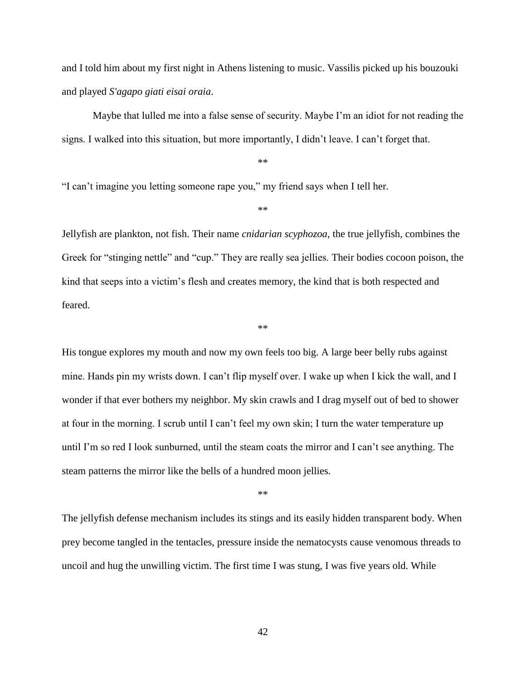and I told him about my first night in Athens listening to music. Vassilis picked up his bouzouki and played *S'agapo giati eisai oraia*.

Maybe that lulled me into a false sense of security. Maybe I'm an idiot for not reading the signs. I walked into this situation, but more importantly, I didn't leave. I can't forget that.

\*\*

"I can't imagine you letting someone rape you," my friend says when I tell her.

\*\*

Jellyfish are plankton, not fish. Their name *cnidarian scyphozoa*, the true jellyfish, combines the Greek for "stinging nettle" and "cup." They are really sea jellies. Their bodies cocoon poison, the kind that seeps into a victim's flesh and creates memory, the kind that is both respected and feared.

\*\*

His tongue explores my mouth and now my own feels too big. A large beer belly rubs against mine. Hands pin my wrists down. I can't flip myself over. I wake up when I kick the wall, and I wonder if that ever bothers my neighbor. My skin crawls and I drag myself out of bed to shower at four in the morning. I scrub until I can't feel my own skin; I turn the water temperature up until I'm so red I look sunburned, until the steam coats the mirror and I can't see anything. The steam patterns the mirror like the bells of a hundred moon jellies.

\*\*

The jellyfish defense mechanism includes its stings and its easily hidden transparent body. When prey become tangled in the tentacles, pressure inside the nematocysts cause venomous threads to uncoil and hug the unwilling victim. The first time I was stung, I was five years old. While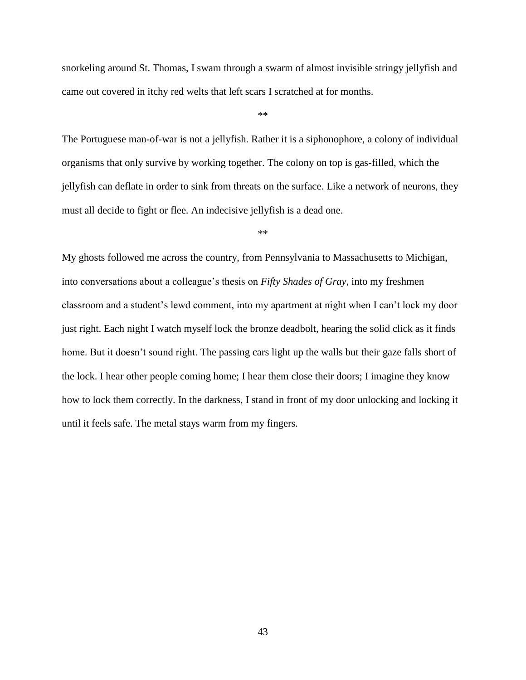snorkeling around St. Thomas, I swam through a swarm of almost invisible stringy jellyfish and came out covered in itchy red welts that left scars I scratched at for months.

\*\*

The Portuguese man-of-war is not a jellyfish. Rather it is a siphonophore, a colony of individual organisms that only survive by working together. The colony on top is gas-filled, which the jellyfish can deflate in order to sink from threats on the surface. Like a network of neurons, they must all decide to fight or flee. An indecisive jellyfish is a dead one.

\*\*

My ghosts followed me across the country, from Pennsylvania to Massachusetts to Michigan, into conversations about a colleague's thesis on *Fifty Shades of Gray*, into my freshmen classroom and a student's lewd comment, into my apartment at night when I can't lock my door just right. Each night I watch myself lock the bronze deadbolt, hearing the solid click as it finds home. But it doesn't sound right. The passing cars light up the walls but their gaze falls short of the lock. I hear other people coming home; I hear them close their doors; I imagine they know how to lock them correctly. In the darkness, I stand in front of my door unlocking and locking it until it feels safe. The metal stays warm from my fingers.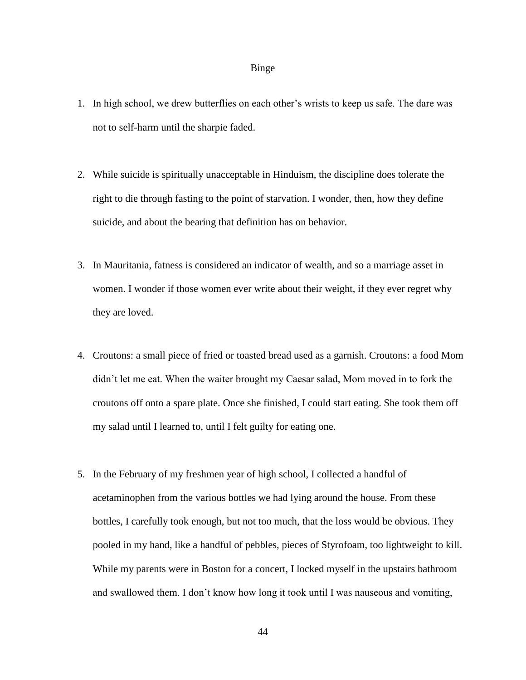#### Binge

- <span id="page-48-0"></span>1. In high school, we drew butterflies on each other's wrists to keep us safe. The dare was not to self-harm until the sharpie faded.
- 2. While suicide is spiritually unacceptable in Hinduism, the discipline does tolerate the right to die through fasting to the point of starvation. I wonder, then, how they define suicide, and about the bearing that definition has on behavior.
- 3. In Mauritania, fatness is considered an indicator of wealth, and so a marriage asset in women. I wonder if those women ever write about their weight, if they ever regret why they are loved.
- 4. Croutons: a small piece of fried or toasted bread used as a garnish. Croutons: a food Mom didn't let me eat. When the waiter brought my Caesar salad, Mom moved in to fork the croutons off onto a spare plate. Once she finished, I could start eating. She took them off my salad until I learned to, until I felt guilty for eating one.
- 5. In the February of my freshmen year of high school, I collected a handful of acetaminophen from the various bottles we had lying around the house. From these bottles, I carefully took enough, but not too much, that the loss would be obvious. They pooled in my hand, like a handful of pebbles, pieces of Styrofoam, too lightweight to kill. While my parents were in Boston for a concert, I locked myself in the upstairs bathroom and swallowed them. I don't know how long it took until I was nauseous and vomiting,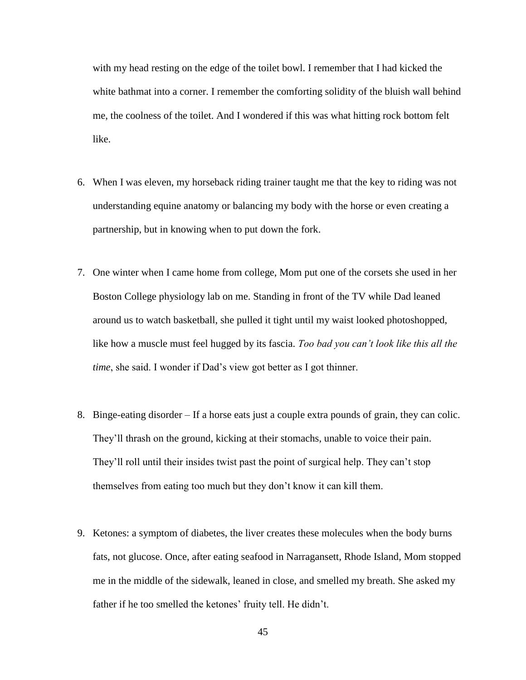with my head resting on the edge of the toilet bowl. I remember that I had kicked the white bathmat into a corner. I remember the comforting solidity of the bluish wall behind me, the coolness of the toilet. And I wondered if this was what hitting rock bottom felt like.

- 6. When I was eleven, my horseback riding trainer taught me that the key to riding was not understanding equine anatomy or balancing my body with the horse or even creating a partnership, but in knowing when to put down the fork.
- 7. One winter when I came home from college, Mom put one of the corsets she used in her Boston College physiology lab on me. Standing in front of the TV while Dad leaned around us to watch basketball, she pulled it tight until my waist looked photoshopped, like how a muscle must feel hugged by its fascia. *Too bad you can't look like this all the time*, she said. I wonder if Dad's view got better as I got thinner.
- 8. Binge-eating disorder If a horse eats just a couple extra pounds of grain, they can colic. They'll thrash on the ground, kicking at their stomachs, unable to voice their pain. They'll roll until their insides twist past the point of surgical help. They can't stop themselves from eating too much but they don't know it can kill them.
- 9. Ketones: a symptom of diabetes, the liver creates these molecules when the body burns fats, not glucose. Once, after eating seafood in Narragansett, Rhode Island, Mom stopped me in the middle of the sidewalk, leaned in close, and smelled my breath. She asked my father if he too smelled the ketones' fruity tell. He didn't.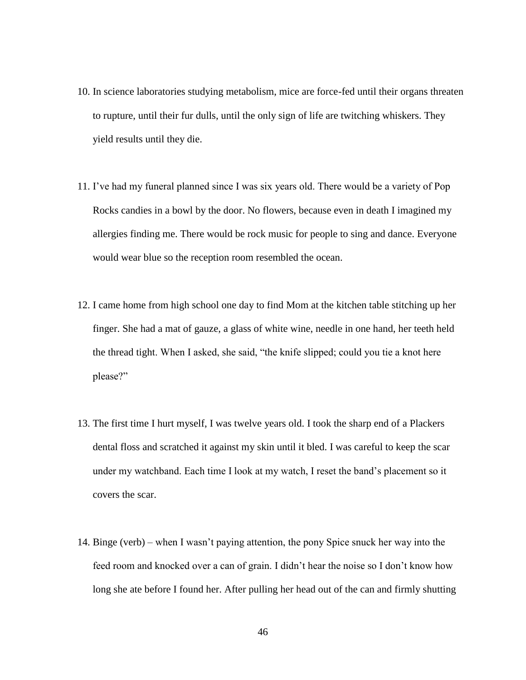- 10. In science laboratories studying metabolism, mice are force-fed until their organs threaten to rupture, until their fur dulls, until the only sign of life are twitching whiskers. They yield results until they die.
- 11. I've had my funeral planned since I was six years old. There would be a variety of Pop Rocks candies in a bowl by the door. No flowers, because even in death I imagined my allergies finding me. There would be rock music for people to sing and dance. Everyone would wear blue so the reception room resembled the ocean.
- 12. I came home from high school one day to find Mom at the kitchen table stitching up her finger. She had a mat of gauze, a glass of white wine, needle in one hand, her teeth held the thread tight. When I asked, she said, "the knife slipped; could you tie a knot here please?"
- 13. The first time I hurt myself, I was twelve years old. I took the sharp end of a Plackers dental floss and scratched it against my skin until it bled. I was careful to keep the scar under my watchband. Each time I look at my watch, I reset the band's placement so it covers the scar.
- 14. Binge (verb) when I wasn't paying attention, the pony Spice snuck her way into the feed room and knocked over a can of grain. I didn't hear the noise so I don't know how long she ate before I found her. After pulling her head out of the can and firmly shutting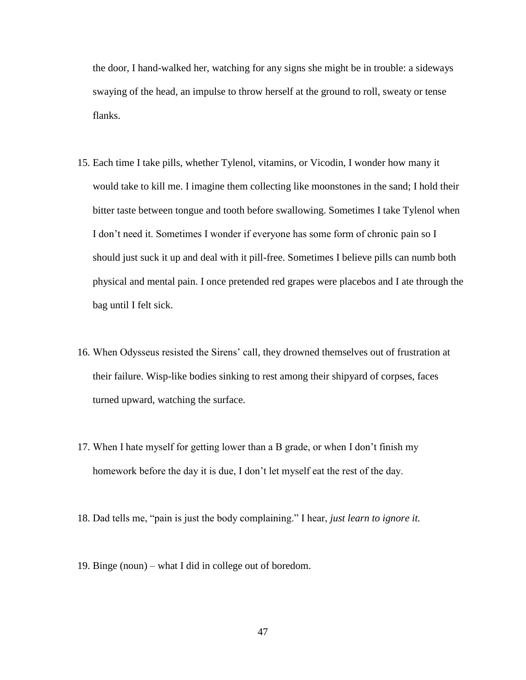the door, I hand-walked her, watching for any signs she might be in trouble: a sideways swaying of the head, an impulse to throw herself at the ground to roll, sweaty or tense flanks.

- 15. Each time I take pills, whether Tylenol, vitamins, or Vicodin, I wonder how many it would take to kill me. I imagine them collecting like moonstones in the sand; I hold their bitter taste between tongue and tooth before swallowing. Sometimes I take Tylenol when I don't need it. Sometimes I wonder if everyone has some form of chronic pain so I should just suck it up and deal with it pill-free. Sometimes I believe pills can numb both physical and mental pain. I once pretended red grapes were placebos and I ate through the bag until I felt sick.
- 16. When Odysseus resisted the Sirens' call, they drowned themselves out of frustration at their failure. Wisp-like bodies sinking to rest among their shipyard of corpses, faces turned upward, watching the surface.
- 17. When I hate myself for getting lower than a B grade, or when I don't finish my homework before the day it is due, I don't let myself eat the rest of the day.
- 18. Dad tells me, "pain is just the body complaining." I hear, *just learn to ignore it.*
- 19. Binge (noun) what I did in college out of boredom.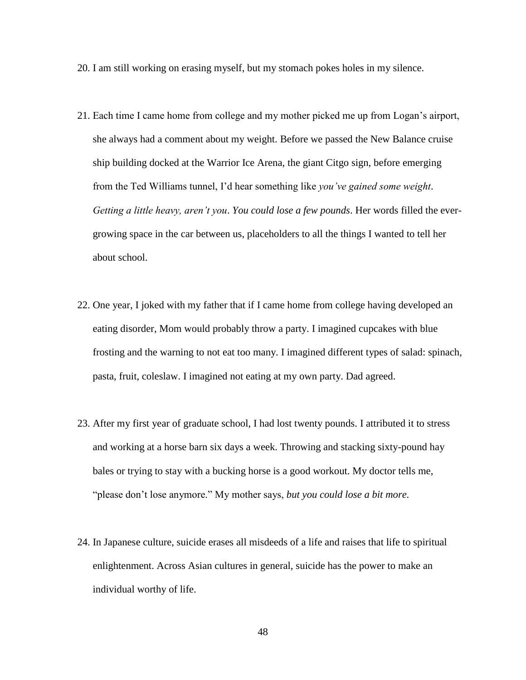- 20. I am still working on erasing myself, but my stomach pokes holes in my silence.
- 21. Each time I came home from college and my mother picked me up from Logan's airport, she always had a comment about my weight. Before we passed the New Balance cruise ship building docked at the Warrior Ice Arena, the giant Citgo sign, before emerging from the Ted Williams tunnel, I'd hear something like *you've gained some weight*. *Getting a little heavy, aren't you*. *You could lose a few pounds*. Her words filled the evergrowing space in the car between us, placeholders to all the things I wanted to tell her about school.
- 22. One year, I joked with my father that if I came home from college having developed an eating disorder, Mom would probably throw a party. I imagined cupcakes with blue frosting and the warning to not eat too many. I imagined different types of salad: spinach, pasta, fruit, coleslaw. I imagined not eating at my own party. Dad agreed.
- 23. After my first year of graduate school, I had lost twenty pounds. I attributed it to stress and working at a horse barn six days a week. Throwing and stacking sixty-pound hay bales or trying to stay with a bucking horse is a good workout. My doctor tells me, "please don't lose anymore." My mother says, *but you could lose a bit more.*
- 24. In Japanese culture, suicide erases all misdeeds of a life and raises that life to spiritual enlightenment. Across Asian cultures in general, suicide has the power to make an individual worthy of life.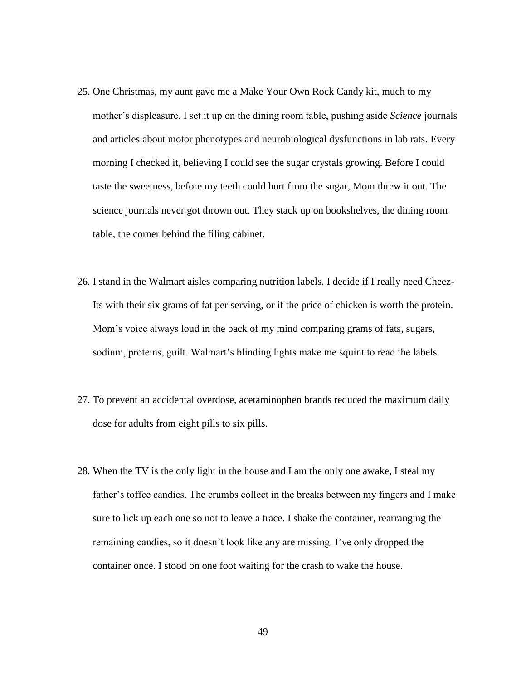- 25. One Christmas, my aunt gave me a Make Your Own Rock Candy kit, much to my mother's displeasure. I set it up on the dining room table, pushing aside *Science* journals and articles about motor phenotypes and neurobiological dysfunctions in lab rats. Every morning I checked it, believing I could see the sugar crystals growing. Before I could taste the sweetness, before my teeth could hurt from the sugar, Mom threw it out. The science journals never got thrown out. They stack up on bookshelves, the dining room table, the corner behind the filing cabinet.
- 26. I stand in the Walmart aisles comparing nutrition labels. I decide if I really need Cheez-Its with their six grams of fat per serving, or if the price of chicken is worth the protein. Mom's voice always loud in the back of my mind comparing grams of fats, sugars, sodium, proteins, guilt. Walmart's blinding lights make me squint to read the labels.
- 27. To prevent an accidental overdose, acetaminophen brands reduced the maximum daily dose for adults from eight pills to six pills.
- 28. When the TV is the only light in the house and I am the only one awake, I steal my father's toffee candies. The crumbs collect in the breaks between my fingers and I make sure to lick up each one so not to leave a trace. I shake the container, rearranging the remaining candies, so it doesn't look like any are missing. I've only dropped the container once. I stood on one foot waiting for the crash to wake the house.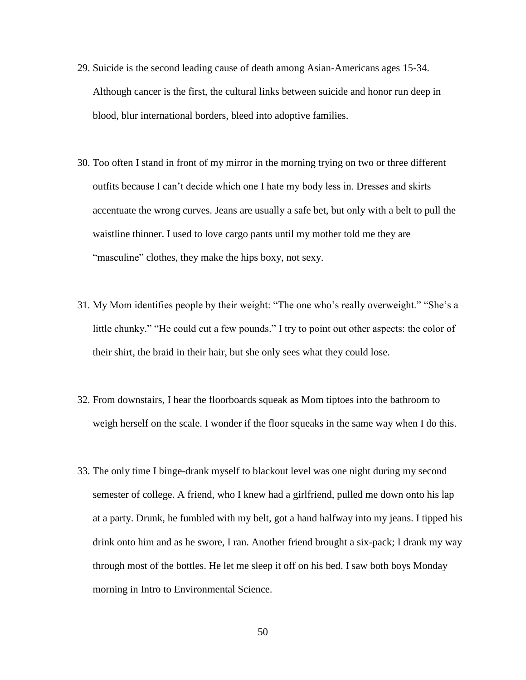- 29. Suicide is the second leading cause of death among Asian-Americans ages 15-34. Although cancer is the first, the cultural links between suicide and honor run deep in blood, blur international borders, bleed into adoptive families.
- 30. Too often I stand in front of my mirror in the morning trying on two or three different outfits because I can't decide which one I hate my body less in. Dresses and skirts accentuate the wrong curves. Jeans are usually a safe bet, but only with a belt to pull the waistline thinner. I used to love cargo pants until my mother told me they are "masculine" clothes, they make the hips boxy, not sexy.
- 31. My Mom identifies people by their weight: "The one who's really overweight." "She's a little chunky." "He could cut a few pounds." I try to point out other aspects: the color of their shirt, the braid in their hair, but she only sees what they could lose.
- 32. From downstairs, I hear the floorboards squeak as Mom tiptoes into the bathroom to weigh herself on the scale. I wonder if the floor squeaks in the same way when I do this.
- 33. The only time I binge-drank myself to blackout level was one night during my second semester of college. A friend, who I knew had a girlfriend, pulled me down onto his lap at a party. Drunk, he fumbled with my belt, got a hand halfway into my jeans. I tipped his drink onto him and as he swore, I ran. Another friend brought a six-pack; I drank my way through most of the bottles. He let me sleep it off on his bed. I saw both boys Monday morning in Intro to Environmental Science.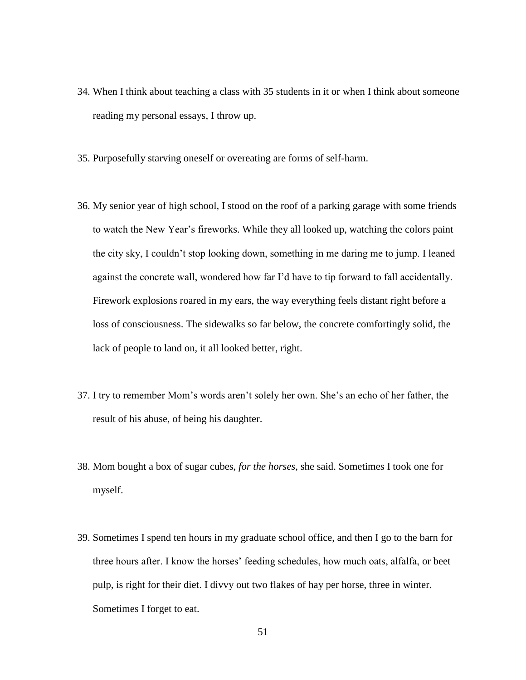- 34. When I think about teaching a class with 35 students in it or when I think about someone reading my personal essays, I throw up.
- 35. Purposefully starving oneself or overeating are forms of self-harm.
- 36. My senior year of high school, I stood on the roof of a parking garage with some friends to watch the New Year's fireworks. While they all looked up, watching the colors paint the city sky, I couldn't stop looking down, something in me daring me to jump. I leaned against the concrete wall, wondered how far I'd have to tip forward to fall accidentally. Firework explosions roared in my ears, the way everything feels distant right before a loss of consciousness. The sidewalks so far below, the concrete comfortingly solid, the lack of people to land on, it all looked better, right.
- 37. I try to remember Mom's words aren't solely her own. She's an echo of her father, the result of his abuse, of being his daughter.
- 38. Mom bought a box of sugar cubes, *for the horses*, she said. Sometimes I took one for myself.
- 39. Sometimes I spend ten hours in my graduate school office, and then I go to the barn for three hours after. I know the horses' feeding schedules, how much oats, alfalfa, or beet pulp, is right for their diet. I divvy out two flakes of hay per horse, three in winter. Sometimes I forget to eat.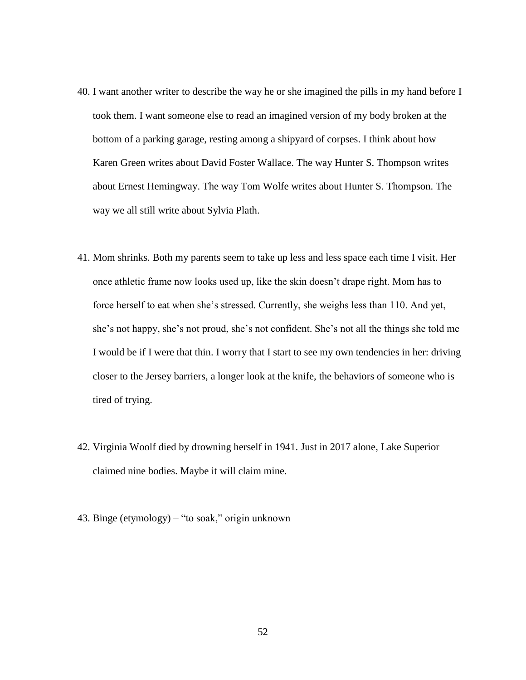- 40. I want another writer to describe the way he or she imagined the pills in my hand before I took them. I want someone else to read an imagined version of my body broken at the bottom of a parking garage, resting among a shipyard of corpses. I think about how Karen Green writes about David Foster Wallace. The way Hunter S. Thompson writes about Ernest Hemingway. The way Tom Wolfe writes about Hunter S. Thompson. The way we all still write about Sylvia Plath.
- 41. Mom shrinks. Both my parents seem to take up less and less space each time I visit. Her once athletic frame now looks used up, like the skin doesn't drape right. Mom has to force herself to eat when she's stressed. Currently, she weighs less than 110. And yet, she's not happy, she's not proud, she's not confident. She's not all the things she told me I would be if I were that thin. I worry that I start to see my own tendencies in her: driving closer to the Jersey barriers, a longer look at the knife, the behaviors of someone who is tired of trying.
- 42. Virginia Woolf died by drowning herself in 1941. Just in 2017 alone, Lake Superior claimed nine bodies. Maybe it will claim mine.
- 43. Binge (etymology) "to soak," origin unknown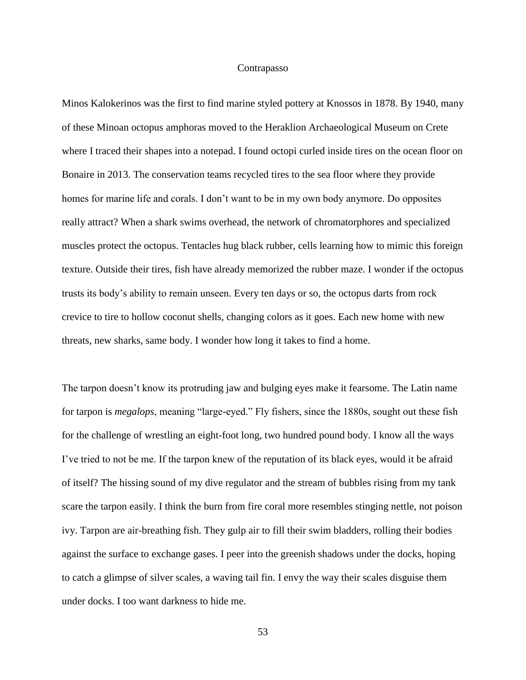#### Contrapasso

<span id="page-57-0"></span>Minos Kalokerinos was the first to find marine styled pottery at Knossos in 1878. By 1940, many of these Minoan octopus amphoras moved to the Heraklion Archaeological Museum on Crete where I traced their shapes into a notepad. I found octopi curled inside tires on the ocean floor on Bonaire in 2013. The conservation teams recycled tires to the sea floor where they provide homes for marine life and corals. I don't want to be in my own body anymore. Do opposites really attract? When a shark swims overhead, the network of chromatorphores and specialized muscles protect the octopus. Tentacles hug black rubber, cells learning how to mimic this foreign texture. Outside their tires, fish have already memorized the rubber maze. I wonder if the octopus trusts its body's ability to remain unseen. Every ten days or so, the octopus darts from rock crevice to tire to hollow coconut shells, changing colors as it goes. Each new home with new threats, new sharks, same body. I wonder how long it takes to find a home.

The tarpon doesn't know its protruding jaw and bulging eyes make it fearsome. The Latin name for tarpon is *megalops*, meaning "large-eyed." Fly fishers, since the 1880s, sought out these fish for the challenge of wrestling an eight-foot long, two hundred pound body. I know all the ways I've tried to not be me. If the tarpon knew of the reputation of its black eyes, would it be afraid of itself? The hissing sound of my dive regulator and the stream of bubbles rising from my tank scare the tarpon easily. I think the burn from fire coral more resembles stinging nettle, not poison ivy. Tarpon are air-breathing fish. They gulp air to fill their swim bladders, rolling their bodies against the surface to exchange gases. I peer into the greenish shadows under the docks, hoping to catch a glimpse of silver scales, a waving tail fin. I envy the way their scales disguise them under docks. I too want darkness to hide me.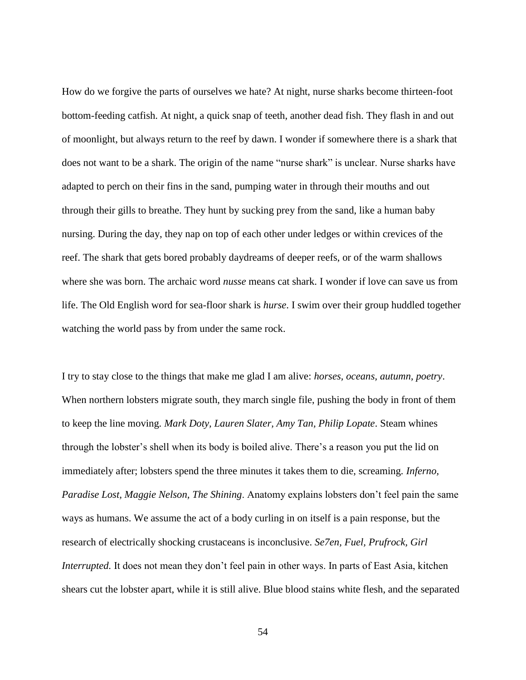How do we forgive the parts of ourselves we hate? At night, nurse sharks become thirteen-foot bottom-feeding catfish. At night, a quick snap of teeth, another dead fish. They flash in and out of moonlight, but always return to the reef by dawn. I wonder if somewhere there is a shark that does not want to be a shark. The origin of the name "nurse shark" is unclear. Nurse sharks have adapted to perch on their fins in the sand, pumping water in through their mouths and out through their gills to breathe. They hunt by sucking prey from the sand, like a human baby nursing. During the day, they nap on top of each other under ledges or within crevices of the reef. The shark that gets bored probably daydreams of deeper reefs, or of the warm shallows where she was born. The archaic word *nusse* means cat shark. I wonder if love can save us from life. The Old English word for sea-floor shark is *hurse*. I swim over their group huddled together watching the world pass by from under the same rock.

I try to stay close to the things that make me glad I am alive: *horses, oceans, autumn, poetry*. When northern lobsters migrate south, they march single file, pushing the body in front of them to keep the line moving. *Mark Doty, Lauren Slater, Amy Tan, Philip Lopate*. Steam whines through the lobster's shell when its body is boiled alive. There's a reason you put the lid on immediately after; lobsters spend the three minutes it takes them to die, screaming. *Inferno, Paradise Lost, Maggie Nelson, The Shining*. Anatomy explains lobsters don't feel pain the same ways as humans. We assume the act of a body curling in on itself is a pain response, but the research of electrically shocking crustaceans is inconclusive. *Se7en, Fuel, Prufrock, Girl Interrupted.* It does not mean they don't feel pain in other ways. In parts of East Asia, kitchen shears cut the lobster apart, while it is still alive. Blue blood stains white flesh, and the separated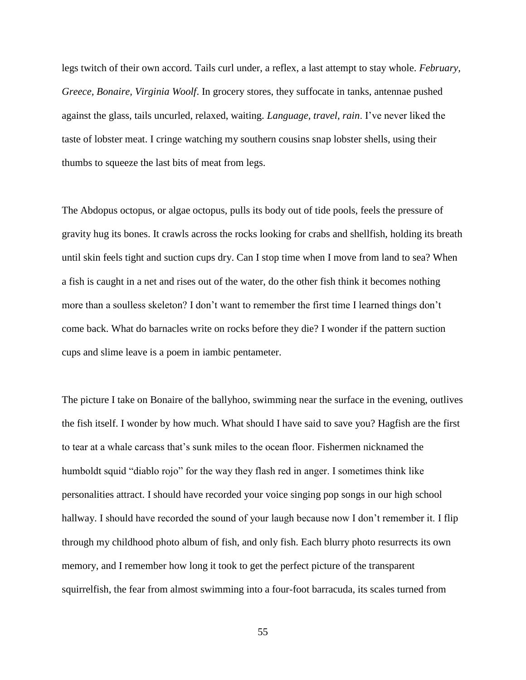legs twitch of their own accord. Tails curl under, a reflex, a last attempt to stay whole. *February, Greece, Bonaire, Virginia Woolf*. In grocery stores, they suffocate in tanks, antennae pushed against the glass, tails uncurled, relaxed, waiting. *Language, travel, rain*. I've never liked the taste of lobster meat. I cringe watching my southern cousins snap lobster shells, using their thumbs to squeeze the last bits of meat from legs.

The Abdopus octopus, or algae octopus, pulls its body out of tide pools, feels the pressure of gravity hug its bones. It crawls across the rocks looking for crabs and shellfish, holding its breath until skin feels tight and suction cups dry. Can I stop time when I move from land to sea? When a fish is caught in a net and rises out of the water, do the other fish think it becomes nothing more than a soulless skeleton? I don't want to remember the first time I learned things don't come back. What do barnacles write on rocks before they die? I wonder if the pattern suction cups and slime leave is a poem in iambic pentameter.

The picture I take on Bonaire of the ballyhoo, swimming near the surface in the evening, outlives the fish itself. I wonder by how much. What should I have said to save you? Hagfish are the first to tear at a whale carcass that's sunk miles to the ocean floor. Fishermen nicknamed the humboldt squid "diablo rojo" for the way they flash red in anger. I sometimes think like personalities attract. I should have recorded your voice singing pop songs in our high school hallway. I should have recorded the sound of your laugh because now I don't remember it. I flip through my childhood photo album of fish, and only fish. Each blurry photo resurrects its own memory, and I remember how long it took to get the perfect picture of the transparent squirrelfish, the fear from almost swimming into a four-foot barracuda, its scales turned from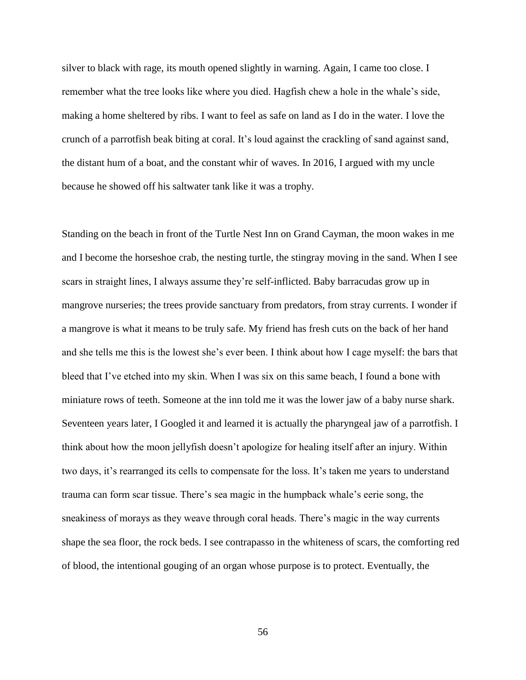silver to black with rage, its mouth opened slightly in warning. Again, I came too close. I remember what the tree looks like where you died. Hagfish chew a hole in the whale's side, making a home sheltered by ribs. I want to feel as safe on land as I do in the water. I love the crunch of a parrotfish beak biting at coral. It's loud against the crackling of sand against sand, the distant hum of a boat, and the constant whir of waves. In 2016, I argued with my uncle because he showed off his saltwater tank like it was a trophy.

Standing on the beach in front of the Turtle Nest Inn on Grand Cayman, the moon wakes in me and I become the horseshoe crab, the nesting turtle, the stingray moving in the sand. When I see scars in straight lines, I always assume they're self-inflicted. Baby barracudas grow up in mangrove nurseries; the trees provide sanctuary from predators, from stray currents. I wonder if a mangrove is what it means to be truly safe. My friend has fresh cuts on the back of her hand and she tells me this is the lowest she's ever been. I think about how I cage myself: the bars that bleed that I've etched into my skin. When I was six on this same beach, I found a bone with miniature rows of teeth. Someone at the inn told me it was the lower jaw of a baby nurse shark. Seventeen years later, I Googled it and learned it is actually the pharyngeal jaw of a parrotfish. I think about how the moon jellyfish doesn't apologize for healing itself after an injury. Within two days, it's rearranged its cells to compensate for the loss. It's taken me years to understand trauma can form scar tissue. There's sea magic in the humpback whale's eerie song, the sneakiness of morays as they weave through coral heads. There's magic in the way currents shape the sea floor, the rock beds. I see contrapasso in the whiteness of scars, the comforting red of blood, the intentional gouging of an organ whose purpose is to protect. Eventually, the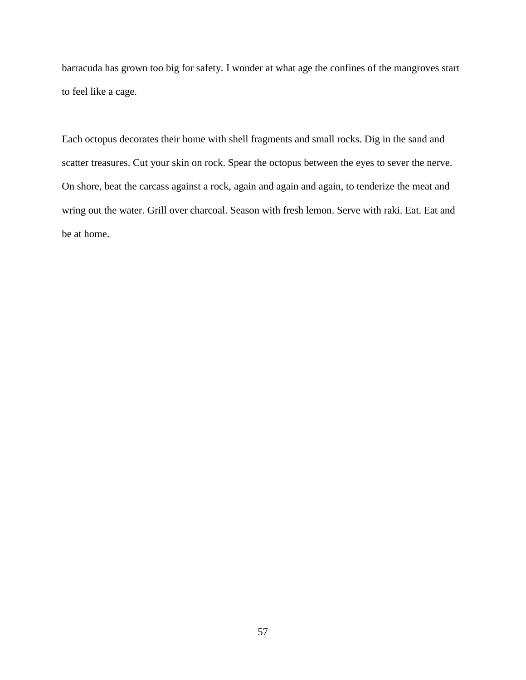barracuda has grown too big for safety. I wonder at what age the confines of the mangroves start to feel like a cage.

Each octopus decorates their home with shell fragments and small rocks. Dig in the sand and scatter treasures. Cut your skin on rock. Spear the octopus between the eyes to sever the nerve. On shore, beat the carcass against a rock, again and again and again, to tenderize the meat and wring out the water. Grill over charcoal. Season with fresh lemon. Serve with raki. Eat. Eat and be at home.